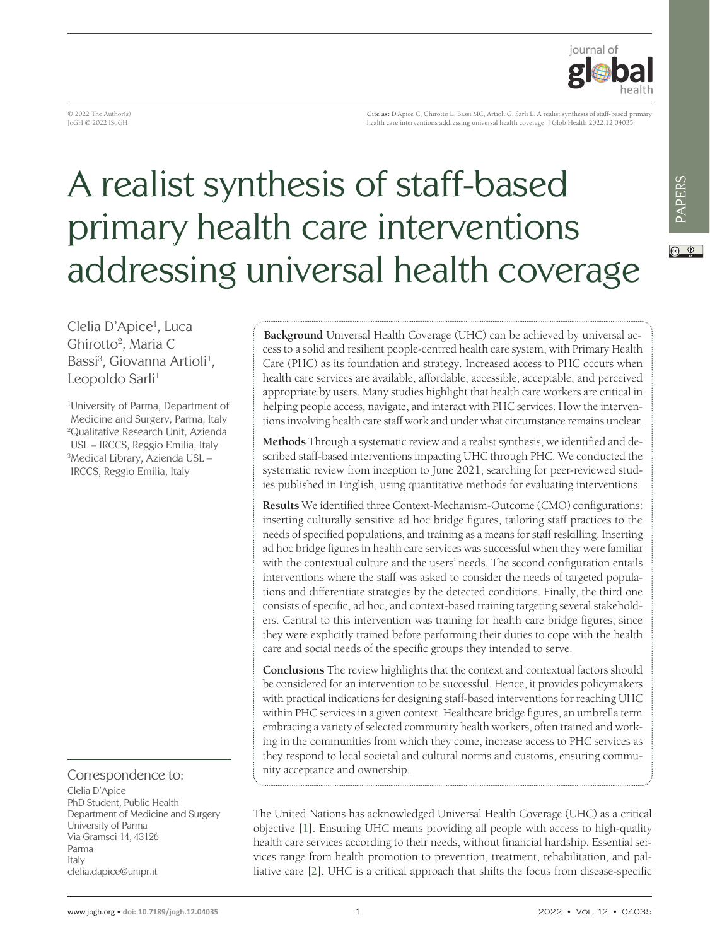

© 2022 The Author(s) JoGH © 2022 ISoGH

**Cite as:** D'Apice C, Ghirotto L, Bassi MC, Artioli G, Sarli L. A realist synthesis of staff-based primary health care interventions addressing universal health coverage. J Glob Health 2022;12:04035.

# A realist synthesis of staff-based primary health care interventions addressing universal health coverage

Clelia D'Apice<sup>1</sup>, Luca Ghirotto<sup>2</sup>, Maria C Bassi<sup>3</sup>, Giovanna Artioli<sup>1</sup>, Leopoldo Sarli<sup>1</sup>

1 University of Parma, Department of Medicine and Surgery, Parma, Italy 2 Qualitative Research Unit, Azienda USL – IRCCS, Reggio Emilia, Italy 3 Medical Library, Azienda USL – IRCCS, Reggio Emilia, Italy

### Correspondence to:

Clelia D'Apice PhD Student, Public Health Department of Medicine and Surgery University of Parma Via Gramsci 14, 43126 Parma Italy clelia.dapice@unipr.it

**Background** Universal Health Coverage (UHC) can be achieved by universal access to a solid and resilient people-centred health care system, with Primary Health Care (PHC) as its foundation and strategy. Increased access to PHC occurs when health care services are available, affordable, accessible, acceptable, and perceived appropriate by users. Many studies highlight that health care workers are critical in helping people access, navigate, and interact with PHC services. How the interventions involving health care staff work and under what circumstance remains unclear.

**Methods** Through a systematic review and a realist synthesis, we identified and described staff-based interventions impacting UHC through PHC. We conducted the systematic review from inception to June 2021, searching for peer-reviewed studies published in English, using quantitative methods for evaluating interventions.

**Results** We identified three Context-Mechanism-Outcome (CMO) configurations: inserting culturally sensitive ad hoc bridge figures, tailoring staff practices to the needs of specified populations, and training as a means for staff reskilling. Inserting ad hoc bridge figures in health care services was successful when they were familiar with the contextual culture and the users' needs. The second configuration entails interventions where the staff was asked to consider the needs of targeted populations and differentiate strategies by the detected conditions. Finally, the third one consists of specific, ad hoc, and context-based training targeting several stakeholders. Central to this intervention was training for health care bridge figures, since they were explicitly trained before performing their duties to cope with the health care and social needs of the specific groups they intended to serve.

Conclusions The review highlights that the context and contextual factors should be considered for an intervention to be successful. Hence, it provides policymakers with practical indications for designing staff-based interventions for reaching UHC within PHC services in a given context. Healthcare bridge figures, an umbrella term embracing a variety of selected community health workers, often trained and working in the communities from which they come, increase access to PHC services as they respond to local societal and cultural norms and customs, ensuring community acceptance and ownership.

The United Nations has acknowledged Universal Health Coverage (UHC) as a critical objective [[1\]](#page-11-0). Ensuring UHC means providing all people with access to high-quality health care services according to their needs, without financial hardship. Essential services range from health promotion to prevention, treatment, rehabilitation, and palliative care [\[2](#page-11-1)]. UHC is a critical approach that shifts the focus from disease-specific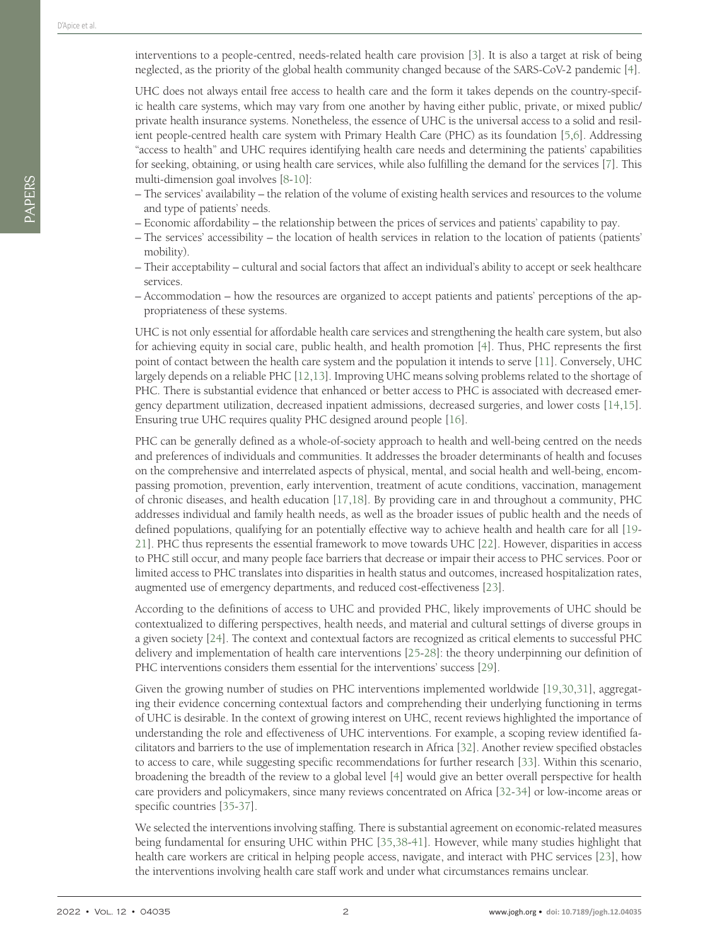interventions to a people-centred, needs-related health care provision [[3](#page-11-2)]. It is also a target at risk of being neglected, as the priority of the global health community changed because of the SARS-CoV-2 pandemic [[4\]](#page-11-3).

UHC does not always entail free access to health care and the form it takes depends on the country-specific health care systems, which may vary from one another by having either public, private, or mixed public/ private health insurance systems. Nonetheless, the essence of UHC is the universal access to a solid and resilient people-centred health care system with Primary Health Care (PHC) as its foundation [\[5,](#page-11-4)[6](#page-11-5)]. Addressing "access to health" and UHC requires identifying health care needs and determining the patients' capabilities for seeking, obtaining, or using health care services, while also fulfilling the demand for the services [\[7](#page-11-6)]. This multi-dimension goal involves [[8-](#page-11-7)[10](#page-11-8)]:

- The services' availability the relation of the volume of existing health services and resources to the volume and type of patients' needs.
- Economic affordability the relationship between the prices of services and patients' capability to pay.
- The services' accessibility the location of health services in relation to the location of patients (patients' mobility).
- Their acceptability cultural and social factors that affect an individual's ability to accept or seek healthcare services.
- Accommodation how the resources are organized to accept patients and patients' perceptions of the appropriateness of these systems.

UHC is not only essential for affordable health care services and strengthening the health care system, but also for achieving equity in social care, public health, and health promotion [[4\]](#page-11-3). Thus, PHC represents the first point of contact between the health care system and the population it intends to serve [[11\]](#page-11-9). Conversely, UHC largely depends on a reliable PHC [[12](#page-11-10)[,13\]](#page-11-11). Improving UHC means solving problems related to the shortage of PHC. There is substantial evidence that enhanced or better access to PHC is associated with decreased emergency department utilization, decreased inpatient admissions, decreased surgeries, and lower costs [[14](#page-11-12),[15\]](#page-11-13). Ensuring true UHC requires quality PHC designed around people [[16\]](#page-11-14).

PHC can be generally defined as a whole-of-society approach to health and well-being centred on the needs and preferences of individuals and communities. It addresses the broader determinants of health and focuses on the comprehensive and interrelated aspects of physical, mental, and social health and well-being, encompassing promotion, prevention, early intervention, treatment of acute conditions, vaccination, management of chronic diseases, and health education [\[17,](#page-11-15)[18](#page-11-16)]. By providing care in and throughout a community, PHC addresses individual and family health needs, as well as the broader issues of public health and the needs of defined populations, qualifying for an potentially effective way to achieve health and health care for all [\[19](#page-11-17)- [21\]](#page-12-0). PHC thus represents the essential framework to move towards UHC [\[22](#page-12-1)]. However, disparities in access to PHC still occur, and many people face barriers that decrease or impair their access to PHC services. Poor or limited access to PHC translates into disparities in health status and outcomes, increased hospitalization rates, augmented use of emergency departments, and reduced cost-effectiveness [[23\]](#page-12-2).

According to the definitions of access to UHC and provided PHC, likely improvements of UHC should be contextualized to differing perspectives, health needs, and material and cultural settings of diverse groups in a given society [\[24](#page-12-3)]. The context and contextual factors are recognized as critical elements to successful PHC delivery and implementation of health care interventions [\[25-](#page-12-4)[28](#page-12-5)]: the theory underpinning our definition of PHC interventions considers them essential for the interventions' success [[29\]](#page-12-6).

Given the growing number of studies on PHC interventions implemented worldwide [\[19,](#page-11-17)[30](#page-12-7),[31\]](#page-12-8), aggregating their evidence concerning contextual factors and comprehending their underlying functioning in terms of UHC is desirable. In the context of growing interest on UHC, recent reviews highlighted the importance of understanding the role and effectiveness of UHC interventions. For example, a scoping review identified facilitators and barriers to the use of implementation research in Africa [\[32](#page-12-9)]. Another review specified obstacles to access to care, while suggesting specific recommendations for further research [\[33\]](#page-12-10). Within this scenario, broadening the breadth of the review to a global level [\[4](#page-11-3)] would give an better overall perspective for health care providers and policymakers, since many reviews concentrated on Africa [\[32](#page-12-9)[-34\]](#page-12-11) or low-income areas or specific countries [[35](#page-12-12)[-37](#page-12-13)].

We selected the interventions involving staffing. There is substantial agreement on economic-related measures being fundamental for ensuring UHC within PHC [\[35](#page-12-12),[38](#page-12-14)[-41\]](#page-12-15). However, while many studies highlight that health care workers are critical in helping people access, navigate, and interact with PHC services [[23\]](#page-12-2), how the interventions involving health care staff work and under what circumstances remains unclear.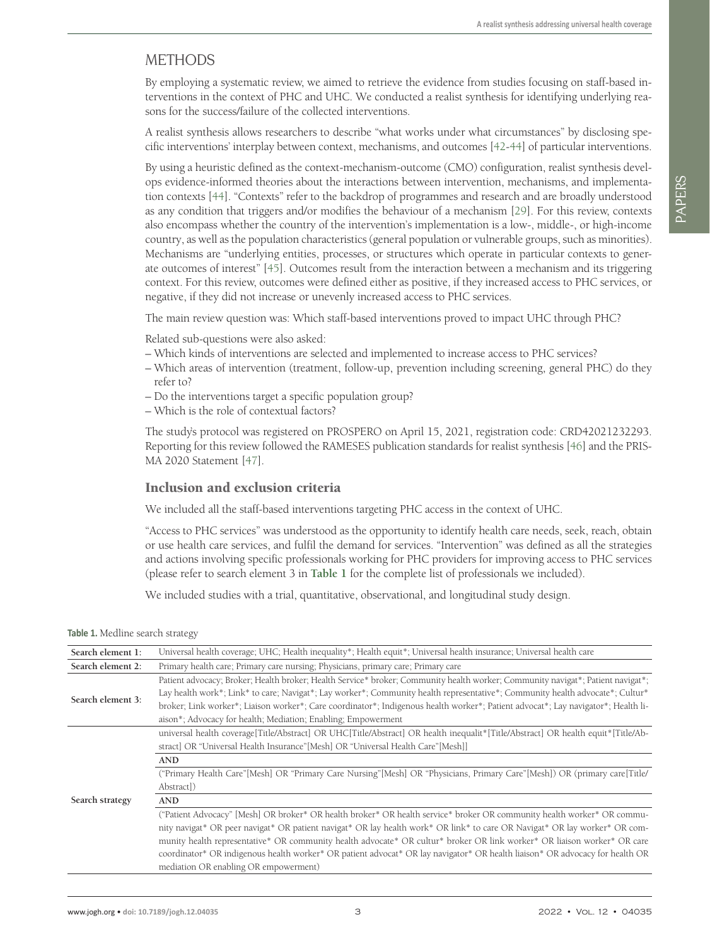## METHODS

By employing a systematic review, we aimed to retrieve the evidence from studies focusing on staff-based interventions in the context of PHC and UHC. We conducted a realist synthesis for identifying underlying reasons for the success/failure of the collected interventions.

A realist synthesis allows researchers to describe "what works under what circumstances" by disclosing specific interventions' interplay between context, mechanisms, and outcomes [\[42](#page-12-16)-[44\]](#page-12-17) of particular interventions.

By using a heuristic defined as the context-mechanism-outcome (CMO) configuration, realist synthesis develops evidence-informed theories about the interactions between intervention, mechanisms, and implementation contexts [\[44](#page-12-17)]. "Contexts" refer to the backdrop of programmes and research and are broadly understood as any condition that triggers and/or modifies the behaviour of a mechanism [[29\]](#page-12-6). For this review, contexts also encompass whether the country of the intervention's implementation is a low-, middle-, or high-income country, as well as the population characteristics (general population or vulnerable groups, such as minorities). Mechanisms are "underlying entities, processes, or structures which operate in particular contexts to generate outcomes of interest" [\[45](#page-13-0)]. Outcomes result from the interaction between a mechanism and its triggering context. For this review, outcomes were defined either as positive, if they increased access to PHC services, or negative, if they did not increase or unevenly increased access to PHC services.

The main review question was: Which staff-based interventions proved to impact UHC through PHC?

Related sub-questions were also asked:

- Which kinds of interventions are selected and implemented to increase access to PHC services?
- Which areas of intervention (treatment, follow-up, prevention including screening, general PHC) do they refer to?
- Do the interventions target a specific population group?
- Which is the role of contextual factors?

The study's protocol was registered on PROSPERO on April 15, 2021, registration code: CRD42021232293. Reporting for this review followed the RAMESES publication standards for realist synthesis [\[46\]](#page-13-1) and the PRIS-MA 2020 Statement [\[47](#page-13-2)].

### Inclusion and exclusion criteria

We included all the staff-based interventions targeting PHC access in the context of UHC.

"Access to PHC services" was understood as the opportunity to identify health care needs, seek, reach, obtain or use health care services, and fulfil the demand for services. "Intervention" was defined as all the strategies and actions involving specific professionals working for PHC providers for improving access to PHC services (please refer to search element 3 in **[Table 1](#page-2-0)** for the complete list of professionals we included).

We included studies with a trial, quantitative, observational, and longitudinal study design.

<span id="page-2-0"></span>**Table 1.** Medline search strategy

| Search element 1: | Universal health coverage; UHC; Health inequality*; Health equit*; Universal health insurance; Universal health care              |  |  |  |  |  |  |
|-------------------|-----------------------------------------------------------------------------------------------------------------------------------|--|--|--|--|--|--|
| Search element 2: | Primary health care; Primary care nursing; Physicians, primary care; Primary care                                                 |  |  |  |  |  |  |
|                   | Patient advocacy; Broker; Health broker; Health Service* broker; Community health worker; Community navigat*; Patient navigat*;   |  |  |  |  |  |  |
|                   | Lay health work*; Link* to care; Navigat*; Lay worker*; Community health representative*; Community health advocate*; Cultur*     |  |  |  |  |  |  |
| Search element 3: | broker; Link worker*; Liaison worker*; Care coordinator*; Indigenous health worker*; Patient advocat*; Lay navigator*; Health li- |  |  |  |  |  |  |
|                   | aison*; Advocacy for health; Mediation; Enabling; Empowerment                                                                     |  |  |  |  |  |  |
|                   | universal health coverage[Title/Abstract] OR UHC[Title/Abstract] OR health inequalit*[Title/Abstract] OR health equit*[Title/Ab-  |  |  |  |  |  |  |
|                   | stract] OR "Universal Health Insurance" [Mesh] OR "Universal Health Care" [Mesh]]                                                 |  |  |  |  |  |  |
|                   | <b>AND</b>                                                                                                                        |  |  |  |  |  |  |
|                   | ("Primary Health Care"[Mesh] OR "Primary Care Nursing"[Mesh] OR "Physicians, Primary Care"[Mesh]) OR (primary care[Title/         |  |  |  |  |  |  |
|                   | Abstract])                                                                                                                        |  |  |  |  |  |  |
| Search strategy   | <b>AND</b>                                                                                                                        |  |  |  |  |  |  |
|                   | ("Patient Advocacy" [Mesh] OR broker* OR health broker* OR health service* broker OR community health worker* OR commu-           |  |  |  |  |  |  |
|                   | nity navigat* OR peer navigat* OR patient navigat* OR lay health work* OR link* to care OR Navigat* OR lay worker* OR com-        |  |  |  |  |  |  |
|                   | munity health representative* OR community health advocate* OR cultur* broker OR link worker* OR liaison worker* OR care          |  |  |  |  |  |  |
|                   | coordinator* OR indigenous health worker* OR patient advocat* OR lay navigator* OR health liaison* OR advocacy for health OR      |  |  |  |  |  |  |
|                   | mediation OR enabling OR empowerment)                                                                                             |  |  |  |  |  |  |
|                   |                                                                                                                                   |  |  |  |  |  |  |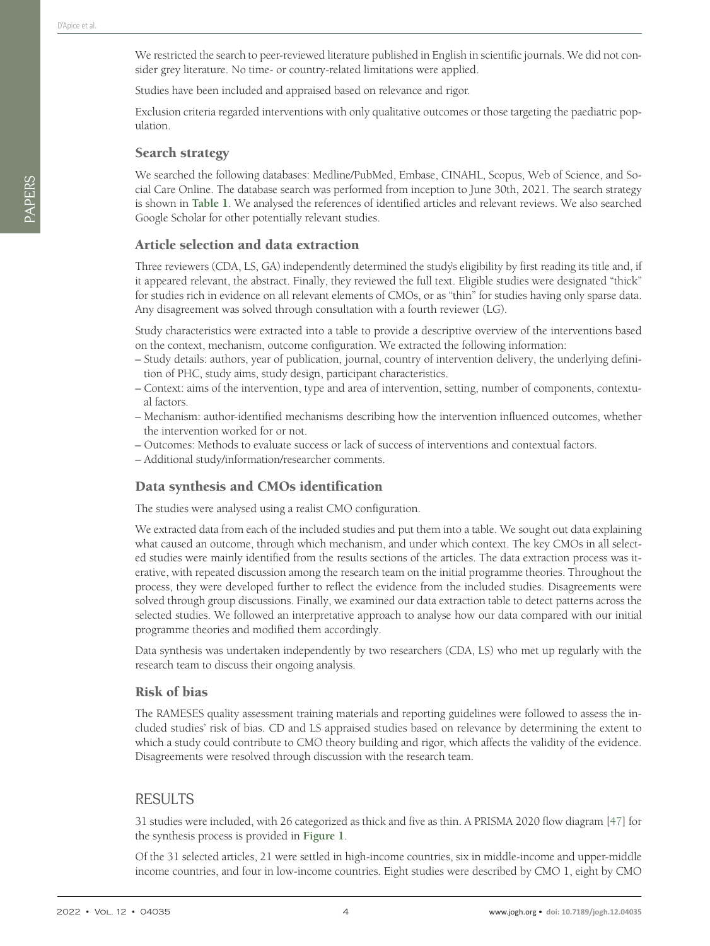We restricted the search to peer-reviewed literature published in English in scientific journals. We did not consider grey literature. No time- or country-related limitations were applied.

Studies have been included and appraised based on relevance and rigor.

Exclusion criteria regarded interventions with only qualitative outcomes or those targeting the paediatric population.

### Search strategy

We searched the following databases: Medline/PubMed, Embase, CINAHL, Scopus, Web of Science, and Social Care Online. The database search was performed from inception to June 30th, 2021. The search strategy is shown in **[Table 1](#page-2-0)**. We analysed the references of identified articles and relevant reviews. We also searched Google Scholar for other potentially relevant studies.

### Article selection and data extraction

Three reviewers (CDA, LS, GA) independently determined the study's eligibility by first reading its title and, if it appeared relevant, the abstract. Finally, they reviewed the full text. Eligible studies were designated "thick" for studies rich in evidence on all relevant elements of CMOs, or as "thin" for studies having only sparse data. Any disagreement was solved through consultation with a fourth reviewer (LG).

Study characteristics were extracted into a table to provide a descriptive overview of the interventions based on the context, mechanism, outcome configuration. We extracted the following information:

- Study details: authors, year of publication, journal, country of intervention delivery, the underlying definition of PHC, study aims, study design, participant characteristics.
- Context: aims of the intervention, type and area of intervention, setting, number of components, contextual factors.
- Mechanism: author-identified mechanisms describing how the intervention influenced outcomes, whether the intervention worked for or not.
- Outcomes: Methods to evaluate success or lack of success of interventions and contextual factors.
- Additional study/information/researcher comments.

### Data synthesis and CMOs identification

The studies were analysed using a realist CMO configuration.

We extracted data from each of the included studies and put them into a table. We sought out data explaining what caused an outcome, through which mechanism, and under which context. The key CMOs in all selected studies were mainly identified from the results sections of the articles. The data extraction process was iterative, with repeated discussion among the research team on the initial programme theories. Throughout the process, they were developed further to reflect the evidence from the included studies. Disagreements were solved through group discussions. Finally, we examined our data extraction table to detect patterns across the selected studies. We followed an interpretative approach to analyse how our data compared with our initial programme theories and modified them accordingly.

Data synthesis was undertaken independently by two researchers (CDA, LS) who met up regularly with the research team to discuss their ongoing analysis.

### Risk of bias

The RAMESES quality assessment training materials and reporting guidelines were followed to assess the included studies' risk of bias. CD and LS appraised studies based on relevance by determining the extent to which a study could contribute to CMO theory building and rigor, which affects the validity of the evidence. Disagreements were resolved through discussion with the research team.

### RESULTS

31 studies were included, with 26 categorized as thick and five as thin. A PRISMA 2020 flow diagram [[47](#page-13-2)] for the synthesis process is provided in **[Figure 1](#page-4-0)**.

Of the 31 selected articles, 21 were settled in high-income countries, six in middle-income and upper-middle income countries, and four in low-income countries. Eight studies were described by CMO 1, eight by CMO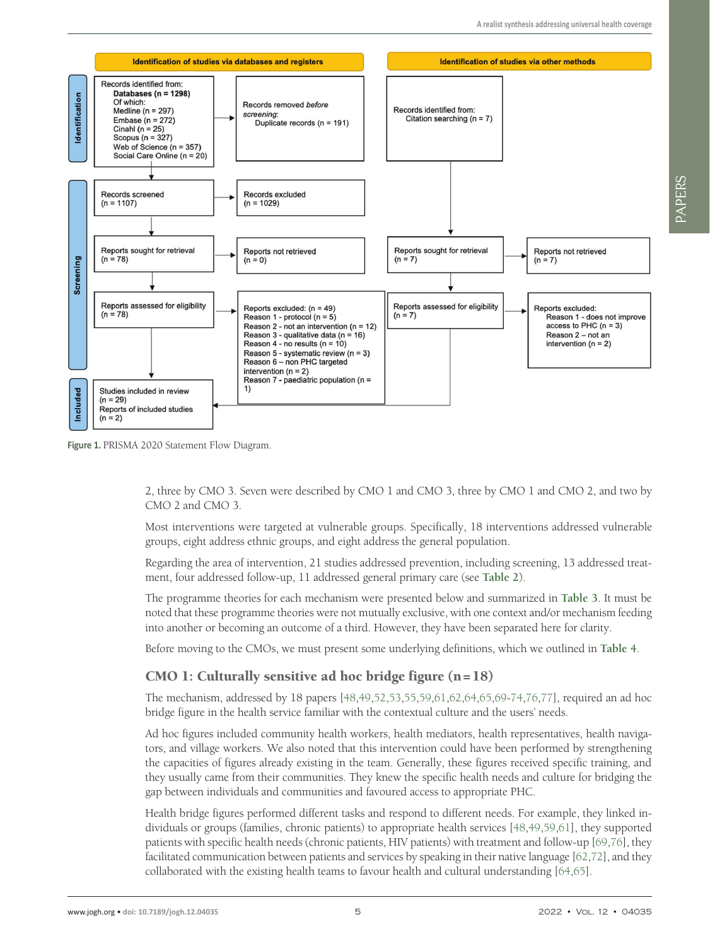<span id="page-4-0"></span>

**Figure 1.** PRISMA 2020 Statement Flow Diagram.

2, three by CMO 3. Seven were described by CMO 1 and CMO 3, three by CMO 1 and CMO 2, and two by CMO 2 and CMO 3.

Most interventions were targeted at vulnerable groups. Specifically, 18 interventions addressed vulnerable groups, eight address ethnic groups, and eight address the general population.

Regarding the area of intervention, 21 studies addressed prevention, including screening, 13 addressed treatment, four addressed follow-up, 11 addressed general primary care (see **[Table 2](#page-5-0)**).

The programme theories for each mechanism were presented below and summarized in **[Table 3](#page-7-0)**. It must be noted that these programme theories were not mutually exclusive, with one context and/or mechanism feeding into another or becoming an outcome of a third. However, they have been separated here for clarity.

Before moving to the CMOs, we must present some underlying definitions, which we outlined in **[Table 4](#page-7-1)**.

### CMO 1: Culturally sensitive ad hoc bridge figure  $(n=18)$

The mechanism, addressed by 18 papers [\[48,](#page-13-3)[49](#page-13-4),[52](#page-13-5)[,53,](#page-13-6)[55](#page-13-7),[59](#page-13-8)[,61,](#page-13-9)[62](#page-13-10),[64](#page-13-11)[,65,](#page-13-12)[69](#page-13-13)[-74,](#page-14-0)[76](#page-14-1),[77\]](#page-14-2), required an ad hoc bridge figure in the health service familiar with the contextual culture and the users' needs.

Ad hoc figures included community health workers, health mediators, health representatives, health navigators, and village workers. We also noted that this intervention could have been performed by strengthening the capacities of figures already existing in the team. Generally, these figures received specific training, and they usually came from their communities. They knew the specific health needs and culture for bridging the gap between individuals and communities and favoured access to appropriate PHC.

Health bridge figures performed different tasks and respond to different needs. For example, they linked individuals or groups (families, chronic patients) to appropriate health services [[48](#page-13-3)[,49,](#page-13-4)[59](#page-13-8),[61\]](#page-13-9), they supported patients with specific health needs (chronic patients, HIV patients) with treatment and follow-up [[69](#page-13-13)[,76](#page-14-1)], they facilitated communication between patients and services by speaking in their native language [\[62](#page-13-10),[72\]](#page-14-3), and they collaborated with the existing health teams to favour health and cultural understanding [\[64,](#page-13-11)[65](#page-13-12)].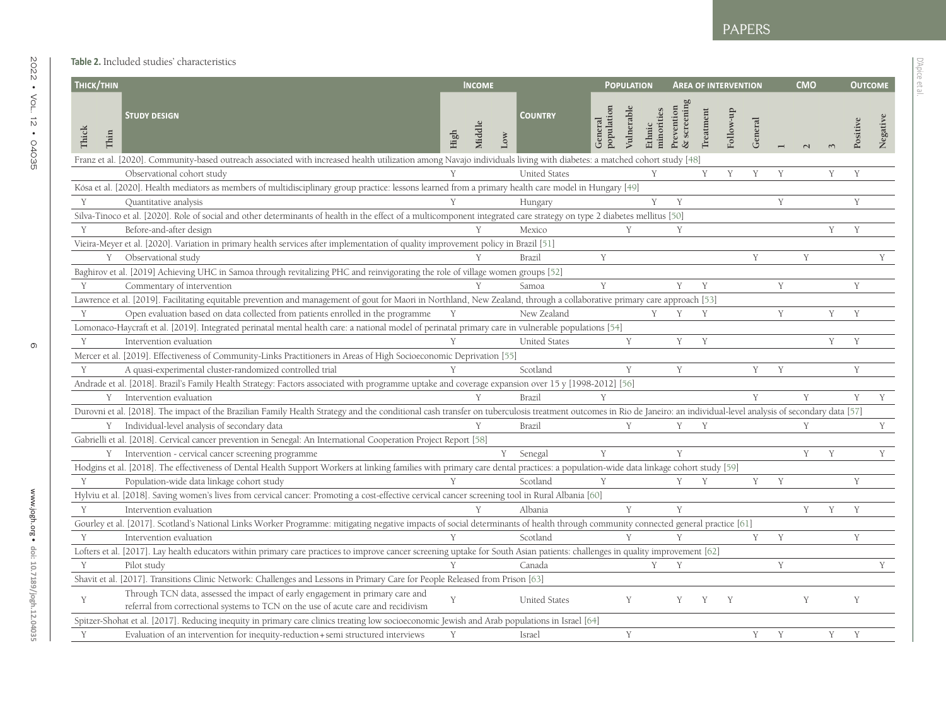D'Apice et al.

D'Apice et al

<span id="page-5-0"></span>

| THICK/THIN            |                                                                                                                                                                                                                       | <b>INCOME</b>  |                       |                       | <b>POPULATION</b> |                      |                          |           | <b>AREA OF INTERVENTION</b> |         |   | <b>CMO</b> |   | <b>OUTCOME</b> |
|-----------------------|-----------------------------------------------------------------------------------------------------------------------------------------------------------------------------------------------------------------------|----------------|-----------------------|-----------------------|-------------------|----------------------|--------------------------|-----------|-----------------------------|---------|---|------------|---|----------------|
| Thick<br>${\rm Thin}$ | <b>STUDY DESIGN</b>                                                                                                                                                                                                   | Middle<br>High | <b>COUNTRY</b><br>Low | population<br>General | Vulnerable        | minorities<br>Ethnic | & screenin<br>Prevention | Treatment | Follow-up                   | General |   |            |   | Positive       |
|                       | Franz et al. [2020]. Community-based outreach associated with increased health utilization among Navajo individuals living with diabetes: a matched cohort study [48]                                                 |                |                       |                       |                   |                      |                          |           |                             |         |   |            |   |                |
|                       | Observational cohort study                                                                                                                                                                                            |                | <b>United States</b>  |                       |                   | Y                    |                          | Y         | Y                           | Y       | Y |            | Y | Y              |
|                       | Kósa et al. [2020]. Health mediators as members of multidisciplinary group practice: lessons learned from a primary health care model in Hungary [49]                                                                 |                |                       |                       |                   |                      |                          |           |                             |         |   |            |   |                |
| Y                     | Quantitative analysis                                                                                                                                                                                                 |                | Hungary               |                       |                   | Y                    | Y                        |           |                             |         | Y |            |   | Y              |
|                       | Silva-Tinoco et al. [2020]. Role of social and other determinants of health in the effect of a multicomponent integrated care strategy on type 2 diabetes mellitus [50]                                               |                |                       |                       |                   |                      |                          |           |                             |         |   |            |   |                |
| Y                     | Before-and-after design                                                                                                                                                                                               |                | Mexico                |                       | Y                 |                      | Y                        |           |                             |         |   |            | Y | Y              |
|                       | Vieira-Meyer et al. [2020]. Variation in primary health services after implementation of quality improvement policy in Brazil [51]                                                                                    |                |                       |                       |                   |                      |                          |           |                             |         |   |            |   |                |
|                       | Y Observational study                                                                                                                                                                                                 |                | <b>Brazil</b>         | Y                     |                   |                      |                          |           |                             | Y       |   | Y          |   |                |
|                       | Baghirov et al. [2019] Achieving UHC in Samoa through revitalizing PHC and reinvigorating the role of village women groups [52]                                                                                       |                |                       |                       |                   |                      |                          |           |                             |         |   |            |   |                |
| Y                     | Commentary of intervention                                                                                                                                                                                            |                | Samoa                 | Y                     |                   |                      | Y                        | Y         |                             |         | Y |            |   | Y              |
|                       | Lawrence et al. [2019]. Facilitating equitable prevention and management of gout for Maori in Northland, New Zealand, through a collaborative primary care approach [53]                                              |                |                       |                       |                   |                      |                          |           |                             |         |   |            |   |                |
| Y                     | Open evaluation based on data collected from patients enrolled in the programme                                                                                                                                       | Y              | New Zealand           |                       |                   | Y                    | Y                        | Y         |                             |         | Y |            | Y | Y              |
|                       | Lomonaco-Haycraft et al. [2019]. Integrated perinatal mental health care: a national model of perinatal primary care in vulnerable populations [54]                                                                   |                |                       |                       |                   |                      |                          |           |                             |         |   |            |   |                |
| Y                     | Intervention evaluation                                                                                                                                                                                               |                | <b>United States</b>  |                       | Y                 |                      | Y                        | Y         |                             |         |   |            | Y | Y              |
|                       | Mercer et al. [2019]. Effectiveness of Community-Links Practitioners in Areas of High Socioeconomic Deprivation [55]                                                                                                  |                |                       |                       |                   |                      |                          |           |                             |         |   |            |   |                |
| Y                     | A quasi-experimental cluster-randomized controlled trial                                                                                                                                                              |                | Scotland              |                       | Y                 |                      | Y                        |           |                             | Y       | Y |            |   | Y              |
|                       | Andrade et al. [2018]. Brazil's Family Health Strategy: Factors associated with programme uptake and coverage expansion over 15 y [1998-2012] [56]                                                                    |                |                       |                       |                   |                      |                          |           |                             |         |   |            |   |                |
|                       | Y Intervention evaluation                                                                                                                                                                                             |                | Brazil                | Y                     |                   |                      |                          |           |                             | Y       |   | Y          |   | Y              |
|                       | Durovni et al. [2018]. The impact of the Brazilian Family Health Strategy and the conditional cash transfer on tuberculosis treatment outcomes in Rio de Janeiro: an individual-level analysis of secondary data [57] |                |                       |                       |                   |                      |                          |           |                             |         |   |            |   |                |
|                       | Y Individual-level analysis of secondary data                                                                                                                                                                         |                | Brazil                |                       | Y                 |                      | Y                        | Y         |                             |         |   | Y          |   |                |
|                       | Gabrielli et al. [2018]. Cervical cancer prevention in Senegal: An International Cooperation Project Report [58]                                                                                                      |                |                       |                       |                   |                      |                          |           |                             |         |   |            |   |                |
|                       | Y Intervention - cervical cancer screening programme                                                                                                                                                                  |                | Y<br>Senegal          | Y                     |                   |                      | Y                        |           |                             |         |   | Y          | Y |                |
|                       | Hodgins et al. [2018]. The effectiveness of Dental Health Support Workers at linking families with primary care dental practices: a population-wide data linkage cohort study [59]                                    |                |                       |                       |                   |                      |                          |           |                             |         |   |            |   |                |
| Y                     | Population-wide data linkage cohort study                                                                                                                                                                             |                | Scotland              | Y                     |                   |                      | Y                        | Y         |                             | Y       | Y |            |   | Y              |
|                       | Hylviu et al. [2018]. Saving women's lives from cervical cancer: Promoting a cost-effective cervical cancer screening tool in Rural Albania [60]                                                                      |                |                       |                       |                   |                      |                          |           |                             |         |   |            |   |                |
| Y                     | Intervention evaluation                                                                                                                                                                                               |                | Albania               |                       | Y                 |                      | Y                        |           |                             |         |   | Y          | Y | Y              |
|                       | Gourley et al. [2017]. Scotland's National Links Worker Programme: mitigating negative impacts of social determinants of health through community connected general practice [61]                                     |                |                       |                       |                   |                      |                          |           |                             |         |   |            |   |                |
| Y                     | Intervention evaluation                                                                                                                                                                                               |                | Scotland              |                       | Y                 |                      | Y                        |           |                             | Y       | Y |            |   | Y              |
|                       | Lofters et al. [2017]. Lay health educators within primary care practices to improve cancer screening uptake for South Asian patients: challenges in quality improvement [62]                                         |                |                       |                       |                   |                      |                          |           |                             |         |   |            |   |                |
| Y                     | Pilot study                                                                                                                                                                                                           |                | Canada                |                       |                   | Y                    | Y                        |           |                             |         | Y |            |   |                |
|                       | Shavit et al. [2017]. Transitions Clinic Network: Challenges and Lessons in Primary Care for People Released from Prison [63]                                                                                         |                |                       |                       |                   |                      |                          |           |                             |         |   |            |   |                |
|                       | Through TCN data, assessed the impact of early engagement in primary care and                                                                                                                                         |                |                       |                       |                   |                      |                          |           |                             |         |   |            |   |                |
| Y                     | referral from correctional systems to TCN on the use of acute care and recidivism                                                                                                                                     | Y              | <b>United States</b>  |                       | Y                 |                      | Y                        | Y         | Y                           |         |   | Y          |   | Y              |
|                       | Spitzer-Shohat et al. [2017]. Reducing inequity in primary care clinics treating low socioeconomic Jewish and Arab populations in Israel [64]                                                                         |                |                       |                       |                   |                      |                          |           |                             |         |   |            |   |                |
| Y                     | Evaluation of an intervention for inequity-reduction + semi structured interviews                                                                                                                                     | Y              | Israel                |                       | Y                 |                      |                          |           |                             | Y       | Y |            | Y | Y              |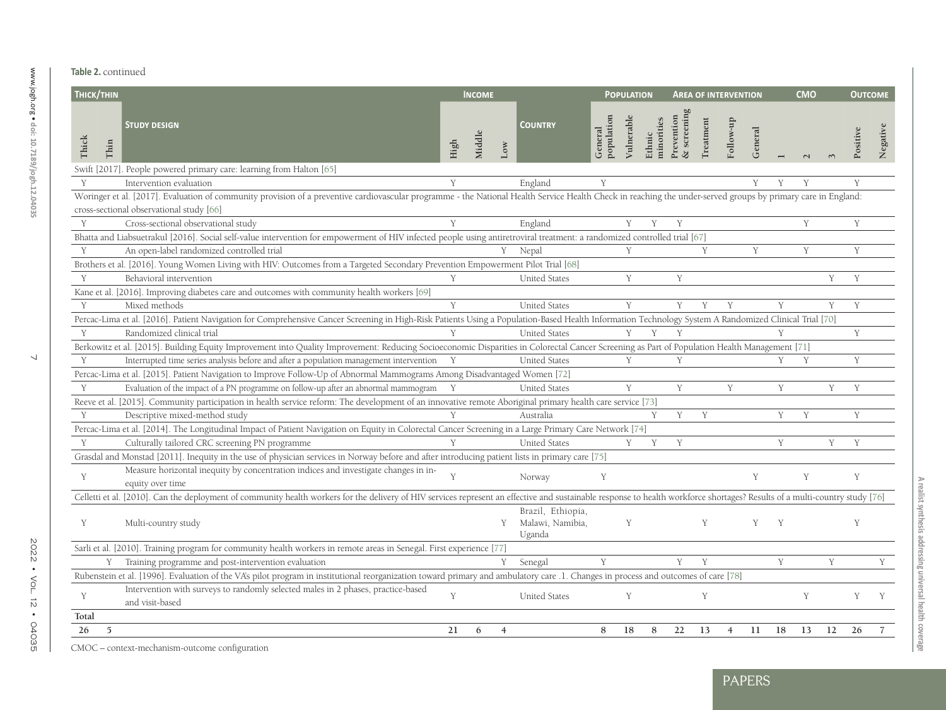| THICK/THIN    |                                                                                                                                                                                                                              |      | <b>INCOME</b>             |                                                 |                       | <b>POPULATION</b> |                      |                           |                  | <b>AREA OF INTERVENTION</b> |         |   | <b>CMO</b> |   | <b>OUTCOME</b> |
|---------------|------------------------------------------------------------------------------------------------------------------------------------------------------------------------------------------------------------------------------|------|---------------------------|-------------------------------------------------|-----------------------|-------------------|----------------------|---------------------------|------------------|-----------------------------|---------|---|------------|---|----------------|
| Thick<br>Thin | <b>STUDY DESIGN</b>                                                                                                                                                                                                          | High | Middle<br>$_{\text{Low}}$ | <b>COUNTRY</b>                                  | General<br>population | Vulnerable        | minorities<br>Ethnic | Prevention<br>& screening | <b>Treatment</b> | Follow-up                   | General |   |            |   | Positive       |
|               | Swift [2017]. People powered primary care: learning from Halton [65]                                                                                                                                                         |      |                           |                                                 |                       |                   |                      |                           |                  |                             |         |   |            |   |                |
| Y             | Intervention evaluation                                                                                                                                                                                                      | Y    |                           | England                                         | Y                     |                   |                      |                           |                  |                             | Y       | Y | Y          |   | Y              |
|               | Woringer et al. [2017]. Evaluation of community provision of a preventive cardiovascular programme - the National Health Service Health Check in reaching the under-served groups by primary care in England:                |      |                           |                                                 |                       |                   |                      |                           |                  |                             |         |   |            |   |                |
|               | cross-sectional observational study [66]                                                                                                                                                                                     |      |                           |                                                 |                       |                   |                      |                           |                  |                             |         |   |            |   |                |
| Y             | Cross-sectional observational study                                                                                                                                                                                          | Y    |                           | England                                         |                       | Y                 | Y                    | Y                         |                  |                             |         |   | Y          |   | Y              |
|               | Bhatta and Liabsuetrakul [2016]. Social self-value intervention for empowerment of HIV infected people using antiretroviral treatment: a randomized controlled trial [67]                                                    |      |                           |                                                 |                       |                   |                      |                           |                  |                             |         |   |            |   |                |
| Y             | An open-label randomized controlled trial                                                                                                                                                                                    |      |                           | Y Nepal                                         |                       | Y                 |                      |                           | Y                |                             | Y       |   | Y          |   | Y              |
|               | Brothers et al. [2016]. Young Women Living with HIV: Outcomes from a Targeted Secondary Prevention Empowerment Pilot Trial [68]                                                                                              |      |                           |                                                 |                       |                   |                      |                           |                  |                             |         |   |            |   |                |
| Y             | Behavioral intervention                                                                                                                                                                                                      | Y    |                           | <b>United States</b>                            |                       | Y                 |                      | Y                         |                  |                             |         |   |            | Y | Y              |
|               | Kane et al. [2016]. Improving diabetes care and outcomes with community health workers [69]                                                                                                                                  |      |                           |                                                 |                       |                   |                      |                           |                  |                             |         |   |            |   |                |
| Y             | Mixed methods                                                                                                                                                                                                                | Y    |                           | <b>United States</b>                            |                       | Y                 |                      | Y                         | Y                | Y                           |         | Y |            | Y | Y              |
|               | Percac-Lima et al. [2016]. Patient Navigation for Comprehensive Cancer Screening in High-Risk Patients Using a Population-Based Health Information Technology System A Randomized Clinical Trial [70]                        |      |                           |                                                 |                       |                   |                      |                           |                  |                             |         |   |            |   |                |
| Y             | Randomized clinical trial                                                                                                                                                                                                    | Y    |                           | <b>United States</b>                            |                       | Y                 | Y                    | Y                         |                  |                             |         | Y |            |   | Y              |
|               | Berkowitz et al. [2015]. Building Equity Improvement into Quality Improvement: Reducing Socioeconomic Disparities in Colorectal Cancer Screening as Part of Population Health Management [71]                                |      |                           |                                                 |                       |                   |                      |                           |                  |                             |         |   |            |   |                |
| Y             | Interrupted time series analysis before and after a population management intervention Y                                                                                                                                     |      |                           | <b>United States</b>                            |                       | Y                 |                      | Y                         |                  |                             |         | Y | Y          |   | Y              |
|               | Percac-Lima et al. [2015]. Patient Navigation to Improve Follow-Up of Abnormal Mammograms Among Disadvantaged Women [72]                                                                                                     |      |                           |                                                 |                       |                   |                      |                           |                  |                             |         |   |            |   |                |
| Y             | Evaluation of the impact of a PN programme on follow-up after an abnormal mammogram Y                                                                                                                                        |      |                           | <b>United States</b>                            |                       | Y                 |                      | Y                         |                  | Y                           |         | Y |            | Y | Y              |
|               | Reeve et al. [2015]. Community participation in health service reform: The development of an innovative remote Aboriginal primary health care service [73]                                                                   |      |                           |                                                 |                       |                   |                      |                           |                  |                             |         |   |            |   |                |
| Y             | Descriptive mixed-method study                                                                                                                                                                                               |      |                           | Australia                                       |                       |                   | Y                    | Y                         | Y                |                             |         | Y | Y          |   | Y              |
|               | Percac-Lima et al. [2014]. The Longitudinal Impact of Patient Navigation on Equity in Colorectal Cancer Screening in a Large Primary Care Network [74]                                                                       |      |                           |                                                 |                       |                   |                      |                           |                  |                             |         |   |            |   |                |
| Y             | Culturally tailored CRC screening PN programme                                                                                                                                                                               | Y    |                           | <b>United States</b>                            |                       | Y                 | Y                    | Y                         |                  |                             |         | Y |            | Y | Y              |
|               | Grasdal and Monstad [2011]. Inequity in the use of physician services in Norway before and after introducing patient lists in primary care [75]                                                                              |      |                           |                                                 |                       |                   |                      |                           |                  |                             |         |   |            |   |                |
|               | Measure horizontal inequity by concentration indices and investigate changes in in-                                                                                                                                          |      |                           |                                                 |                       |                   |                      |                           |                  |                             |         |   |            |   |                |
| Y             | equity over time                                                                                                                                                                                                             |      |                           | Norway                                          | Y                     |                   |                      |                           |                  |                             | Y       |   | Y          |   | Y              |
|               | Celletti et al. [2010]. Can the deployment of community health workers for the delivery of HIV services represent an effective and sustainable response to health workforce shortages? Results of a multi-country study [76] |      |                           |                                                 |                       |                   |                      |                           |                  |                             |         |   |            |   |                |
| Y             | Multi-country study                                                                                                                                                                                                          |      | Y                         | Brazil, Ethiopia,<br>Malawi, Namibia,<br>Uganda |                       | Y                 |                      |                           | Y                |                             | Y       | Y |            |   | Y              |
|               | Sarli et al. [2010]. Training program for community health workers in remote areas in Senegal. First experience [77]                                                                                                         |      |                           |                                                 |                       |                   |                      |                           |                  |                             |         |   |            |   |                |
|               | Y Training programme and post-intervention evaluation                                                                                                                                                                        |      | Y                         | Senegal                                         | Y                     |                   |                      | Y                         |                  |                             |         | Y |            | Y |                |
|               | Rubenstein et al. [1996]. Evaluation of the VA's pilot program in institutional reorganization toward primary and ambulatory care .1. Changes in process and outcomes of care [78]                                           |      |                           |                                                 |                       |                   |                      |                           |                  |                             |         |   |            |   |                |
|               |                                                                                                                                                                                                                              |      |                           | <b>United States</b>                            |                       | Y                 |                      |                           | Y                |                             |         |   | Y          |   | Y              |
| Y             | Intervention with surveys to randomly selected males in 2 phases, practice-based                                                                                                                                             | Y    |                           |                                                 |                       |                   |                      |                           |                  |                             |         |   |            |   |                |
| Total         | and visit-based                                                                                                                                                                                                              |      |                           |                                                 |                       |                   |                      |                           |                  |                             |         |   |            |   |                |

**A realist synthesis addressing universal health coverage**

A realist synthesis addressing universal health coverage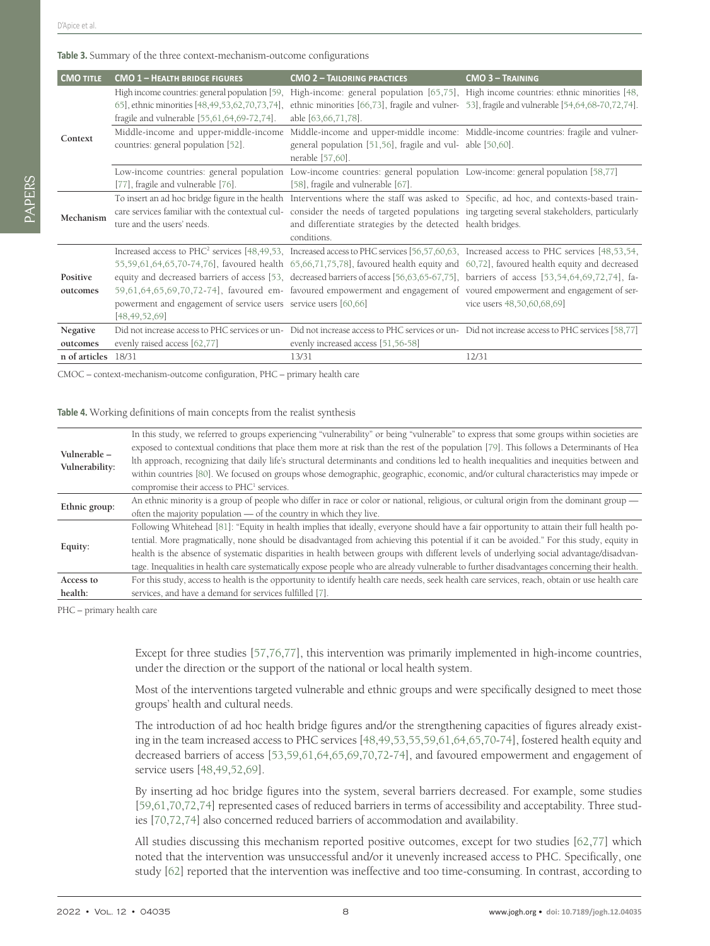### <span id="page-7-0"></span>**Table 3.** Summary of the three context-mechanism-outcome configurations

| <b>CMO TITLE</b>     | <b>CMO 1 - HEALTH BRIDGE FIGURES</b>                                                          | <b>CMO 2 - TAILORING PRACTICES</b>                                                                                                                             | <b>CMO 3 - TRAINING</b>                                                                                                                                                                                                                                                                                                                                                                                                                                                                                                                                                                       |
|----------------------|-----------------------------------------------------------------------------------------------|----------------------------------------------------------------------------------------------------------------------------------------------------------------|-----------------------------------------------------------------------------------------------------------------------------------------------------------------------------------------------------------------------------------------------------------------------------------------------------------------------------------------------------------------------------------------------------------------------------------------------------------------------------------------------------------------------------------------------------------------------------------------------|
|                      |                                                                                               |                                                                                                                                                                | High income countries: general population [59, High-income: general population [65,75], High income countries: ethnic minorities [48,                                                                                                                                                                                                                                                                                                                                                                                                                                                         |
| Context              | 65], ethnic minorities [48,49,53,62,70,73,74],<br>fragile and vulnerable [55,61,64,69-72,74]. | able [63,66,71,78].                                                                                                                                            | ethnic minorities $[66,73]$ , fragile and vulner- 53, fragile and vulnerable $[54,64,68-70,72,74]$ .                                                                                                                                                                                                                                                                                                                                                                                                                                                                                          |
|                      | Middle-income and upper-middle-income<br>countries: general population [52].                  | general population [51,56], fragile and vul- able [50,60].<br>nerable [57,60].                                                                                 | Middle-income and upper-middle income: Middle-income countries: fragile and vulner-                                                                                                                                                                                                                                                                                                                                                                                                                                                                                                           |
|                      | [77], fragile and vulnerable [76].                                                            | Low-income countries: general population Low-income countries: general population Low-income: general population [58,77]<br>[58], fragile and vulnerable [67]. |                                                                                                                                                                                                                                                                                                                                                                                                                                                                                                                                                                                               |
| Mechanism            | ture and the users' needs.                                                                    | and differentiate strategies by the detected health bridges.<br>conditions.                                                                                    | To insert an ad hoc bridge figure in the health Interventions where the staff was asked to Specific, ad hoc, and contexts-based train-<br>care services familiar with the contextual cul- consider the needs of targeted populations ing targeting several stakeholders, particularly                                                                                                                                                                                                                                                                                                         |
| Positive<br>outcomes | powerment and engagement of service users service users [60,66]<br>[48, 49, 52, 69]           |                                                                                                                                                                | Increased access to PHC <sup>2</sup> services [48,49,53, Increased access to PHC services [56,57,60,63, Increased access to PHC services [48,53,54,<br>55,59,61,64,65,70-74,76], favoured health 65,66,71,75,78], favoured health equity and 60,72], favoured health equity and decreased<br>equity and decreased barriers of access [53, decreased barriers of access [56,63,65-67,75], barriers of access [53,54,64,69,72,74], fa-<br>59,61,64,65,69,70,72-74], favoured em- favoured empowerment and engagement of voured empowerment and engagement of ser-<br>vice users 48,50,60,68,69] |
| Negative<br>outcomes | evenly raised access [62,77]                                                                  | evenly increased access [51,56-58]                                                                                                                             | Did not increase access to PHC services or un- Did not increase access to PHC services or un- Did not increase access to PHC services [58,77]                                                                                                                                                                                                                                                                                                                                                                                                                                                 |
| n of articles        | 18/31                                                                                         | 13/31                                                                                                                                                          | 12/31                                                                                                                                                                                                                                                                                                                                                                                                                                                                                                                                                                                         |

CMOC – context-mechanism-outcome configuration, PHC – primary health care

### <span id="page-7-1"></span>**Table 4.** Working definitions of main concepts from the realist synthesis

|                          | In this study, we referred to groups experiencing "vulnerability" or being "vulnerable" to express that some groups within societies are       |
|--------------------------|------------------------------------------------------------------------------------------------------------------------------------------------|
| Vulnerable-              | exposed to contextual conditions that place them more at risk than the rest of the population [79]. This follows a Determinants of Hea         |
|                          | Ith approach, recognizing that daily life's structural determinants and conditions led to health inequalities and inequities between and       |
| Vulnerability:           | within countries [80]. We focused on groups whose demographic, geographic, economic, and/or cultural characteristics may impede or             |
|                          | compromise their access to PHC <sup>1</sup> services.                                                                                          |
| Ethnic group:<br>Equity: | An ethnic minority is a group of people who differ in race or color or national, religious, or cultural origin from the dominant group —       |
|                          | often the majority population — of the country in which they live.                                                                             |
|                          | Following Whitehead [81]: "Equity in health implies that ideally, everyone should have a fair opportunity to attain their full health po-      |
|                          | tential. More pragmatically, none should be disadvantaged from achieving this potential if it can be avoided." For this study, equity in       |
|                          | health is the absence of systematic disparities in health between groups with different levels of underlying social advantage/disadvan-        |
|                          | tage. Inequalities in health care systematically expose people who are already vulnerable to further disadvantages concerning their health.    |
| Access to                | For this study, access to health is the opportunity to identify health care needs, seek health care services, reach, obtain or use health care |
| health:                  | services, and have a demand for services fulfilled [7].                                                                                        |

PHC – primary health care

Except for three studies [\[57](#page-13-36),[76](#page-14-1)[,77\]](#page-14-2), this intervention was primarily implemented in high-income countries, under the direction or the support of the national or local health system.

Most of the interventions targeted vulnerable and ethnic groups and were specifically designed to meet those groups' health and cultural needs.

The introduction of ad hoc health bridge figures and/or the strengthening capacities of figures already existing in the team increased access to PHC services [[48](#page-13-3)[,49,](#page-13-4)[53](#page-13-6),[55](#page-13-7)[,59,](#page-13-8)[61](#page-13-9),[64](#page-13-11)[,65,](#page-13-12)[70](#page-14-13)[-74\]](#page-14-0), fostered health equity and decreased barriers of access [[53](#page-13-6)[,59,](#page-13-8)[61](#page-13-9),[64](#page-13-11)[,65,](#page-13-12)[69](#page-13-13),[70](#page-14-13)[,72-](#page-14-3)[74](#page-14-0)], and favoured empowerment and engagement of service users [\[48](#page-13-3)[,49](#page-13-4),[52](#page-13-5)[,69](#page-13-13)].

By inserting ad hoc bridge figures into the system, several barriers decreased. For example, some studies [[59](#page-13-8)[,61](#page-13-9)[,70](#page-14-13),[72](#page-14-3)[,74](#page-14-0)] represented cases of reduced barriers in terms of accessibility and acceptability. Three studies [\[70,](#page-14-13)[72](#page-14-3),[74\]](#page-14-0) also concerned reduced barriers of accommodation and availability.

All studies discussing this mechanism reported positive outcomes, except for two studies [\[62](#page-13-10)[,77](#page-14-2)] which noted that the intervention was unsuccessful and/or it unevenly increased access to PHC. Specifically, one study [\[62](#page-13-10)] reported that the intervention was ineffective and too time-consuming. In contrast, according to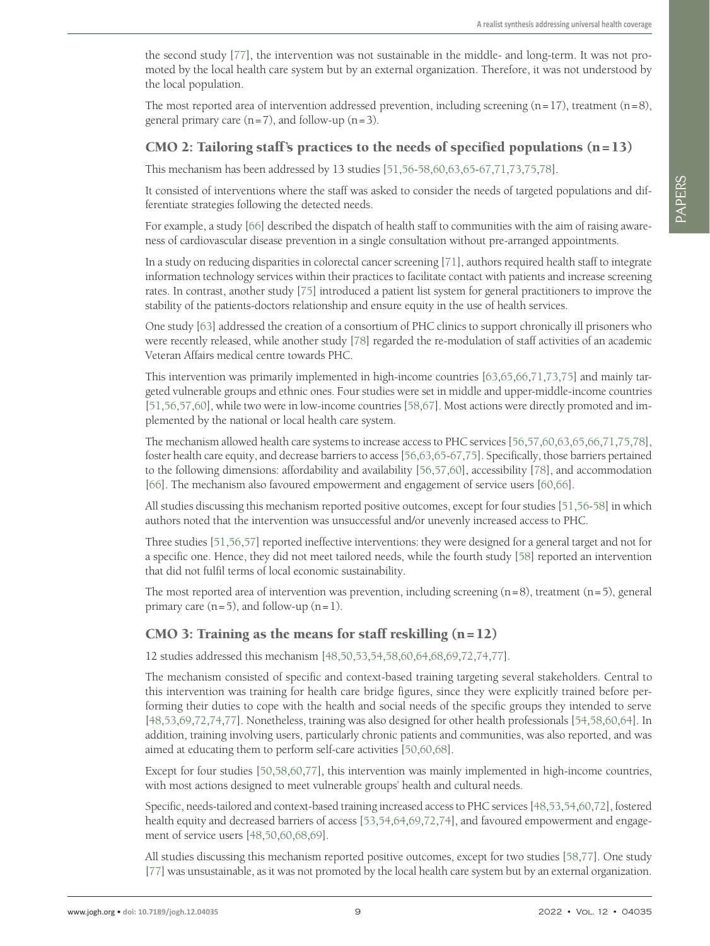the second study [\[77](#page-14-2)], the intervention was not sustainable in the middle- and long-term. It was not promoted by the local health care system but by an external organization. Therefore, it was not understood by the local population.

The most reported area of intervention addressed prevention, including screening  $(n=17)$ , treatment  $(n=8)$ , general primary care  $(n=7)$ , and follow-up  $(n=3)$ .

### CMO 2: Tailoring staff's practices to the needs of specified populations  $(n=13)$

This mechanism has been addressed by 13 studies [[51](#page-13-41)[,56](#page-13-42)-[58](#page-13-45)[,60](#page-13-43)[,63](#page-13-38),[65-](#page-13-12)[67](#page-13-46),[71](#page-14-16)[,73,](#page-14-14)[75](#page-14-15),[78\]](#page-14-17).

It consisted of interventions where the staff was asked to consider the needs of targeted populations and differentiate strategies following the detected needs.

For example, a study [[66\]](#page-13-37) described the dispatch of health staff to communities with the aim of raising awareness of cardiovascular disease prevention in a single consultation without pre-arranged appointments.

In a study on reducing disparities in colorectal cancer screening [\[71\]](#page-14-16), authors required health staff to integrate information technology services within their practices to facilitate contact with patients and increase screening rates. In contrast, another study [\[75](#page-14-15)] introduced a patient list system for general practitioners to improve the stability of the patients-doctors relationship and ensure equity in the use of health services.

One study [[63](#page-13-38)] addressed the creation of a consortium of PHC clinics to support chronically ill prisoners who were recently released, while another study [\[78](#page-14-17)] regarded the re-modulation of staff activities of an academic Veteran Affairs medical centre towards PHC.

This intervention was primarily implemented in high-income countries [[63,](#page-13-38)[65](#page-13-12),[66](#page-13-37),[71](#page-14-16)[,73](#page-14-14),[75](#page-14-15)] and mainly targeted vulnerable groups and ethnic ones. Four studies were set in middle and upper-middle-income countries [\[51](#page-13-41),[56](#page-13-42)[,57,](#page-13-36)[60](#page-13-43)], while two were in low-income countries [[58](#page-13-45),[67\]](#page-13-46). Most actions were directly promoted and implemented by the national or local health care system.

The mechanism allowed health care systems to increase access to PHC services [[56](#page-13-42)[,57,](#page-13-36)[60](#page-13-43),[63](#page-13-38)[,65,](#page-13-12)[66](#page-13-37),[71](#page-14-16)[,75,](#page-14-15)[78](#page-14-17)], foster health care equity, and decrease barriers to access [\[56](#page-13-42),[63](#page-13-38)[,65-](#page-13-12)[67](#page-13-46)[,75](#page-14-15)]. Specifically, those barriers pertained to the following dimensions: affordability and availability [\[56](#page-13-42),[57](#page-13-36)[,60](#page-13-43)], accessibility [\[78](#page-14-17)], and accommodation [\[66](#page-13-37)]. The mechanism also favoured empowerment and engagement of service users [[60](#page-13-43),[66\]](#page-13-37).

All studies discussing this mechanism reported positive outcomes, except for four studies [\[51,](#page-13-41)[56](#page-13-42)-[58\]](#page-13-45) in which authors noted that the intervention was unsuccessful and/or unevenly increased access to PHC.

Three studies [\[51](#page-13-41)[,56](#page-13-42),[57\]](#page-13-36) reported ineffective interventions: they were designed for a general target and not for a specific one. Hence, they did not meet tailored needs, while the fourth study [\[58](#page-13-45)] reported an intervention that did not fulfil terms of local economic sustainability.

The most reported area of intervention was prevention, including screening  $(n=8)$ , treatment  $(n=5)$ , general primary care  $(n=5)$ , and follow-up  $(n=1)$ .

### CMO 3: Training as the means for staff reskilling  $(n=12)$

12 studies addressed this mechanism [\[48](#page-13-3),[50](#page-13-44)[,53](#page-13-6)[,54](#page-13-39),[58](#page-13-45)[,60](#page-13-43)[,64](#page-13-11),[68](#page-13-40)[,69](#page-13-13)[,72](#page-14-3),[74](#page-14-0)[,77\]](#page-14-2).

The mechanism consisted of specific and context-based training targeting several stakeholders. Central to this intervention was training for health care bridge figures, since they were explicitly trained before performing their duties to cope with the health and social needs of the specific groups they intended to serve [\[48](#page-13-3),[53](#page-13-6)[,69,](#page-13-13)[72](#page-14-3),[74](#page-14-0)[,77\]](#page-14-2). Nonetheless, training was also designed for other health professionals [\[54,](#page-13-39)[58](#page-13-45),[60](#page-13-43)[,64\]](#page-13-11). In addition, training involving users, particularly chronic patients and communities, was also reported, and was aimed at educating them to perform self-care activities [[50](#page-13-44)[,60](#page-13-43)[,68](#page-13-40)].

Except for four studies [\[50](#page-13-44),[58](#page-13-45)[,60,](#page-13-43)[77](#page-14-2)], this intervention was mainly implemented in high-income countries, with most actions designed to meet vulnerable groups' health and cultural needs.

Specific, needs-tailored and context-based training increased access to PHC services [\[48](#page-13-3)[,53,](#page-13-6)[54](#page-13-39),[60](#page-13-43)[,72](#page-14-3)], fostered health equity and decreased barriers of access [\[53](#page-13-6),[54](#page-13-39)[,64](#page-13-11)[,69](#page-13-13),[72](#page-14-3)[,74](#page-14-0)], and favoured empowerment and engagement of service users [\[48,](#page-13-3)[50](#page-13-44),[60](#page-13-43)[,68,](#page-13-40)[69](#page-13-13)].

All studies discussing this mechanism reported positive outcomes, except for two studies [\[58](#page-13-45),[77\]](#page-14-2). One study [\[77](#page-14-2)] was unsustainable, as it was not promoted by the local health care system but by an external organization.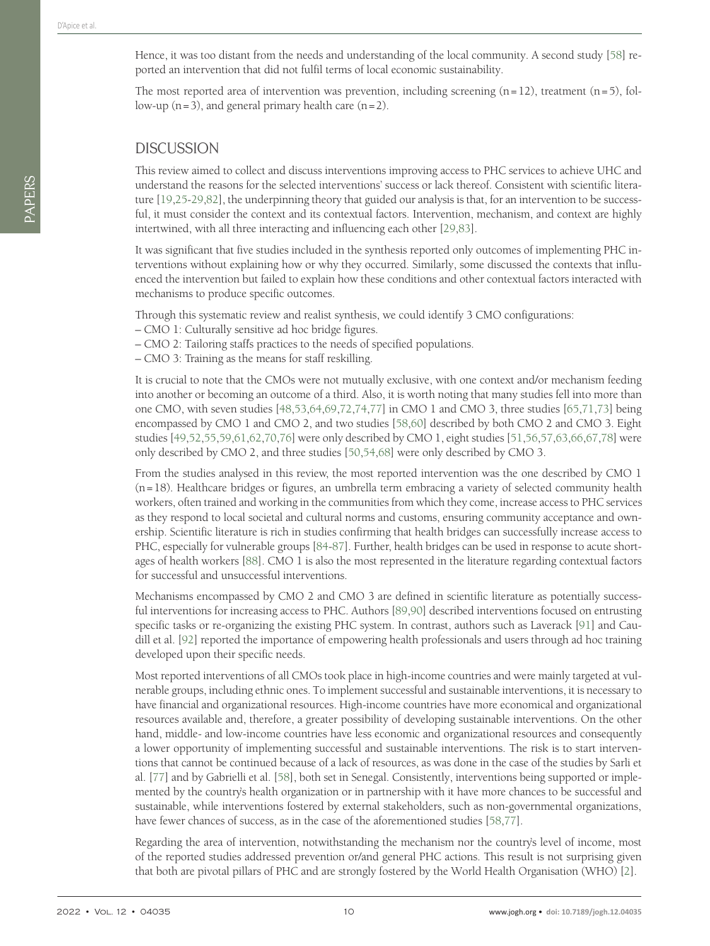Hence, it was too distant from the needs and understanding of the local community. A second study [[58\]](#page-13-45) reported an intervention that did not fulfil terms of local economic sustainability.

The most reported area of intervention was prevention, including screening  $(n=12)$ , treatment  $(n=5)$ , follow-up  $(n=3)$ , and general primary health care  $(n=2)$ .

### **DISCUSSION**

This review aimed to collect and discuss interventions improving access to PHC services to achieve UHC and understand the reasons for the selected interventions' success or lack thereof. Consistent with scientific literature [\[19,](#page-11-17)[25](#page-12-4)[-29,](#page-12-6)[82](#page-14-21)], the underpinning theory that guided our analysis is that, for an intervention to be successful, it must consider the context and its contextual factors. Intervention, mechanism, and context are highly intertwined, with all three interacting and influencing each other [\[29](#page-12-6),[83\]](#page-14-22).

It was significant that five studies included in the synthesis reported only outcomes of implementing PHC interventions without explaining how or why they occurred. Similarly, some discussed the contexts that influenced the intervention but failed to explain how these conditions and other contextual factors interacted with mechanisms to produce specific outcomes.

Through this systematic review and realist synthesis, we could identify 3 CMO configurations:

- CMO 1: Culturally sensitive ad hoc bridge figures.
- CMO 2: Tailoring staffs practices to the needs of specified populations.
- CMO 3: Training as the means for staff reskilling.

It is crucial to note that the CMOs were not mutually exclusive, with one context and/or mechanism feeding into another or becoming an outcome of a third. Also, it is worth noting that many studies fell into more than one CMO, with seven studies [\[48,](#page-13-3)[53](#page-13-6),[64](#page-13-11)[,69,](#page-13-13)[72](#page-14-3),[74](#page-14-0)[,77\]](#page-14-2) in CMO 1 and CMO 3, three studies [[65](#page-13-12)[,71,](#page-14-16)[73](#page-14-14)] being encompassed by CMO 1 and CMO 2, and two studies [\[58](#page-13-45),[60](#page-13-43)] described by both CMO 2 and CMO 3. Eight studies [[49](#page-13-4),[52](#page-13-5)[,55](#page-13-7),[59](#page-13-8),[61](#page-13-9)[,62](#page-13-10)[,70](#page-14-13),[76\]](#page-14-1) were only described by CMO 1, eight studies [\[51,](#page-13-41)[56](#page-13-42),[57](#page-13-36)[,63,](#page-13-38)[66](#page-13-37),[67](#page-13-46)[,78\]](#page-14-17) were only described by CMO 2, and three studies [\[50](#page-13-44),[54](#page-13-39)[,68\]](#page-13-40) were only described by CMO 3.

From the studies analysed in this review, the most reported intervention was the one described by CMO 1 (n=18). Healthcare bridges or figures, an umbrella term embracing a variety of selected community health workers, often trained and working in the communities from which they come, increase access to PHC services as they respond to local societal and cultural norms and customs, ensuring community acceptance and ownership. Scientific literature is rich in studies confirming that health bridges can successfully increase access to PHC, especially for vulnerable groups [\[84-](#page-14-23)[87\]](#page-14-24). Further, health bridges can be used in response to acute shortages of health workers [\[88](#page-14-25)]. CMO 1 is also the most represented in the literature regarding contextual factors for successful and unsuccessful interventions.

Mechanisms encompassed by CMO 2 and CMO 3 are defined in scientific literature as potentially successful interventions for increasing access to PHC. Authors [[89](#page-14-26)[,90\]](#page-14-27) described interventions focused on entrusting specific tasks or re-organizing the existing PHC system. In contrast, authors such as Laverack [[91](#page-14-28)] and Caudill et al. [[92\]](#page-14-29) reported the importance of empowering health professionals and users through ad hoc training developed upon their specific needs.

Most reported interventions of all CMOs took place in high-income countries and were mainly targeted at vulnerable groups, including ethnic ones. To implement successful and sustainable interventions, it is necessary to have financial and organizational resources. High-income countries have more economical and organizational resources available and, therefore, a greater possibility of developing sustainable interventions. On the other hand, middle- and low-income countries have less economic and organizational resources and consequently a lower opportunity of implementing successful and sustainable interventions. The risk is to start interventions that cannot be continued because of a lack of resources, as was done in the case of the studies by Sarli et al. [\[77](#page-14-2)] and by Gabrielli et al. [\[58](#page-13-45)], both set in Senegal. Consistently, interventions being supported or implemented by the country's health organization or in partnership with it have more chances to be successful and sustainable, while interventions fostered by external stakeholders, such as non-governmental organizations, have fewer chances of success, as in the case of the aforementioned studies [\[58,](#page-13-45)[77](#page-14-2)].

Regarding the area of intervention, notwithstanding the mechanism nor the country's level of income, most of the reported studies addressed prevention or/and general PHC actions. This result is not surprising given that both are pivotal pillars of PHC and are strongly fostered by the World Health Organisation (WHO) [[2\]](#page-11-1).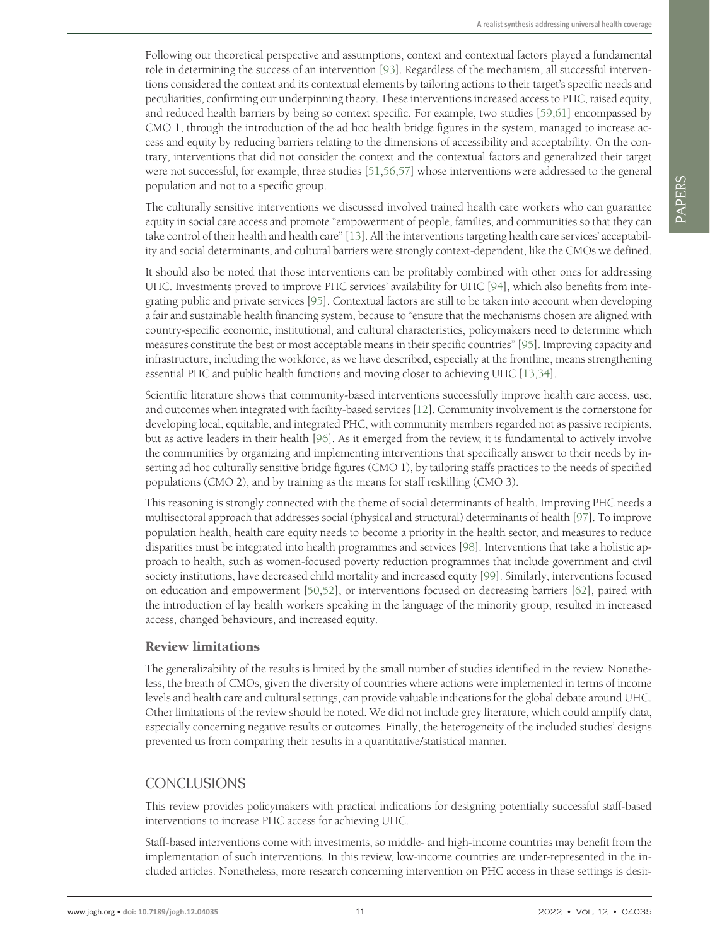Following our theoretical perspective and assumptions, context and contextual factors played a fundamental role in determining the success of an intervention [[93\]](#page-14-30). Regardless of the mechanism, all successful interventions considered the context and its contextual elements by tailoring actions to their target's specific needs and peculiarities, confirming our underpinning theory. These interventions increased access to PHC, raised equity, and reduced health barriers by being so context specific. For example, two studies [\[59](#page-13-8),[61](#page-13-9)] encompassed by CMO 1, through the introduction of the ad hoc health bridge figures in the system, managed to increase access and equity by reducing barriers relating to the dimensions of accessibility and acceptability. On the contrary, interventions that did not consider the context and the contextual factors and generalized their target were not successful, for example, three studies [\[51](#page-13-41),[56](#page-13-42)[,57](#page-13-36)] whose interventions were addressed to the general population and not to a specific group.

The culturally sensitive interventions we discussed involved trained health care workers who can guarantee equity in social care access and promote "empowerment of people, families, and communities so that they can take control of their health and health care" [\[13](#page-11-11)]. All the interventions targeting health care services' acceptability and social determinants, and cultural barriers were strongly context-dependent, like the CMOs we defined.

It should also be noted that those interventions can be profitably combined with other ones for addressing UHC. Investments proved to improve PHC services' availability for UHC [\[94](#page-14-31)], which also benefits from integrating public and private services [[95](#page-14-32)]. Contextual factors are still to be taken into account when developing a fair and sustainable health financing system, because to "ensure that the mechanisms chosen are aligned with country-specific economic, institutional, and cultural characteristics, policymakers need to determine which measures constitute the best or most acceptable means in their specific countries" [[95\]](#page-14-32). Improving capacity and infrastructure, including the workforce, as we have described, especially at the frontline, means strengthening essential PHC and public health functions and moving closer to achieving UHC [[13](#page-11-11)[,34](#page-12-11)].

Scientific literature shows that community-based interventions successfully improve health care access, use, and outcomes when integrated with facility-based services [\[12](#page-11-10)]. Community involvement is the cornerstone for developing local, equitable, and integrated PHC, with community members regarded not as passive recipients, but as active leaders in their health [\[96](#page-15-0)]. As it emerged from the review, it is fundamental to actively involve the communities by organizing and implementing interventions that specifically answer to their needs by inserting ad hoc culturally sensitive bridge figures (CMO 1), by tailoring staffs practices to the needs of specified populations (CMO 2), and by training as the means for staff reskilling (CMO 3).

This reasoning is strongly connected with the theme of social determinants of health. Improving PHC needs a multisectoral approach that addresses social (physical and structural) determinants of health [[97\]](#page-15-1). To improve population health, health care equity needs to become a priority in the health sector, and measures to reduce disparities must be integrated into health programmes and services [\[98](#page-15-2)]. Interventions that take a holistic approach to health, such as women-focused poverty reduction programmes that include government and civil society institutions, have decreased child mortality and increased equity [[99](#page-15-3)]. Similarly, interventions focused on education and empowerment [[50](#page-13-44),[52\]](#page-13-5), or interventions focused on decreasing barriers [[62\]](#page-13-10), paired with the introduction of lay health workers speaking in the language of the minority group, resulted in increased access, changed behaviours, and increased equity.

### Review limitations

The generalizability of the results is limited by the small number of studies identified in the review. Nonetheless, the breath of CMOs, given the diversity of countries where actions were implemented in terms of income levels and health care and cultural settings, can provide valuable indications for the global debate around UHC. Other limitations of the review should be noted. We did not include grey literature, which could amplify data, especially concerning negative results or outcomes. Finally, the heterogeneity of the included studies' designs prevented us from comparing their results in a quantitative/statistical manner.

# CONCLUSIONS

This review provides policymakers with practical indications for designing potentially successful staff-based interventions to increase PHC access for achieving UHC.

Staff-based interventions come with investments, so middle- and high-income countries may benefit from the implementation of such interventions. In this review, low-income countries are under-represented in the included articles. Nonetheless, more research concerning intervention on PHC access in these settings is desir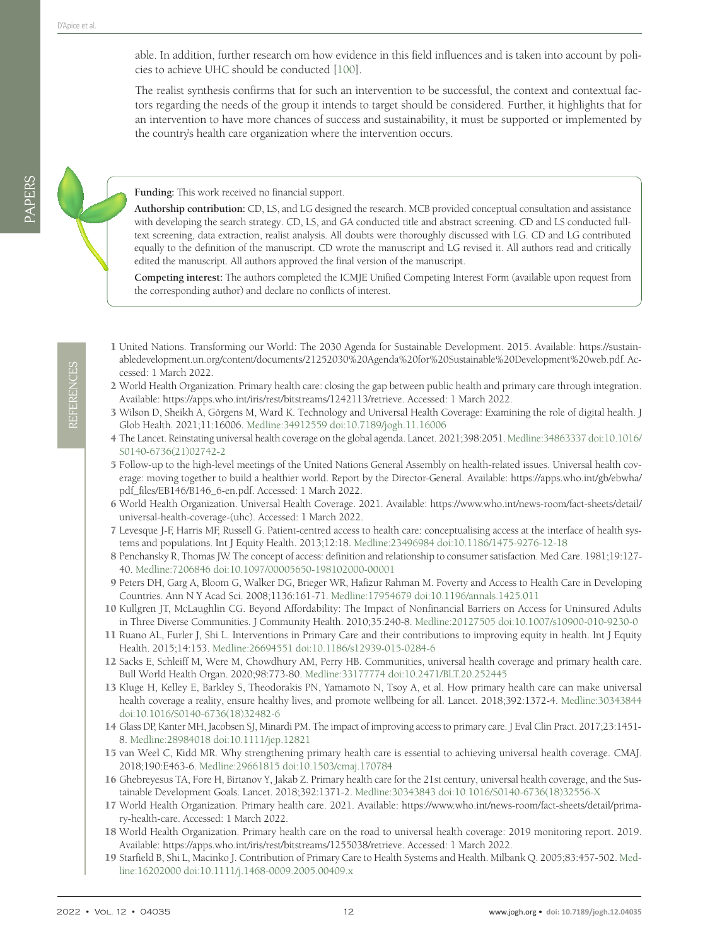able. In addition, further research om how evidence in this field influences and is taken into account by policies to achieve UHC should be conducted [[100](#page-15-4)].

The realist synthesis confirms that for such an intervention to be successful, the context and contextual factors regarding the needs of the group it intends to target should be considered. Further, it highlights that for an intervention to have more chances of success and sustainability, it must be supported or implemented by the country's health care organization where the intervention occurs.

**Funding:** This work received no financial support.

**Authorship contribution:** CD, LS, and LG designed the research. MCB provided conceptual consultation and assistance with developing the search strategy. CD, LS, and GA conducted title and abstract screening. CD and LS conducted fulltext screening, data extraction, realist analysis. All doubts were thoroughly discussed with LG. CD and LG contributed equally to the definition of the manuscript. CD wrote the manuscript and LG revised it. All authors read and critically edited the manuscript. All authors approved the final version of the manuscript.

**Competing interest:** The authors completed the ICMJE Unified Competing Interest Form (available upon request from the corresponding author) and declare no conflicts of interest.

PAPERS

- <span id="page-11-0"></span>1 United Nations. Transforming our World: The 2030 Agenda for Sustainable Development. 2015. Available: [https://sustain](https://sustainabledevelopment.un.org/content/documents/21252030%20Agenda%20for%20Sustainable%20Deve)[abledevelopment.un.org/content/documents/21252030%20Agenda%20for%20Sustainable%20Development%20web.pdf.](https://sustainabledevelopment.un.org/content/documents/21252030%20Agenda%20for%20Sustainable%20Deve) Accessed: 1 March 2022.
- <span id="page-11-1"></span>2 World Health Organization. Primary health care: closing the gap between public health and primary care through integration. Available: <https://apps.who.int/iris/rest/bitstreams/1242113/retrieve>. Accessed: 1 March 2022.
- <span id="page-11-2"></span>3 Wilson D, Sheikh A, Görgens M, Ward K. Technology and Universal Health Coverage: Examining the role of digital health. J Glob Health. 2021;11:16006. [Medline:34912559](https://www.ncbi.nlm.nih.gov/entrez/query.fcgi?cmd=Retrieve&db=PubMed&list_uids=34912559&dopt=Abstract) [doi:10.7189/jogh.11.16006](https://doi.org/10.7189/jogh.11.16006)
- <span id="page-11-3"></span>4 The Lancet. Reinstating universal health coverage on the global agenda. Lancet. 2021;398:2051. [Medline:34863337](https://www.ncbi.nlm.nih.gov/entrez/query.fcgi?cmd=Retrieve&db=PubMed&list_uids=34863337&dopt=Abstract) [doi:10.1016/](https://doi.org/10.1016/S0140-6736(21)02742-2) [S0140-6736\(21\)02742-2](https://doi.org/10.1016/S0140-6736(21)02742-2)
- <span id="page-11-4"></span>5 Follow-up to the high-level meetings of the United Nations General Assembly on health-related issues. Universal health coverage: moving together to build a healthier world. Report by the Director-General. Available: [https://apps.who.int/gb/ebwha/](https://apps.who.int/gb/ebwha/pdf_files/EB146/B146_6-en.pdf) [pdf\\_files/EB146/B146\\_6-en.pdf.](https://apps.who.int/gb/ebwha/pdf_files/EB146/B146_6-en.pdf) Accessed: 1 March 2022.
- <span id="page-11-5"></span>6 World Health Organization. Universal Health Coverage. 2021. Available: [https://www.who.int/news-room/fact-sheets/detail/](https://www.who.int/news-room/fact-sheets/detail/universal-health-coverage-(uhc)) [universal-health-coverage-\(uhc\)](https://www.who.int/news-room/fact-sheets/detail/universal-health-coverage-(uhc)). Accessed: 1 March 2022.
- <span id="page-11-6"></span>7 Levesque J-F, Harris MF, Russell G. Patient-centred access to health care: conceptualising access at the interface of health systems and populations. Int J Equity Health. 2013;12:18. [Medline:23496984](https://www.ncbi.nlm.nih.gov/entrez/query.fcgi?cmd=Retrieve&db=PubMed&list_uids=23496984&dopt=Abstract) [doi:10.1186/1475-9276-12-18](https://doi.org/10.1186/1475-9276-12-18)
- <span id="page-11-7"></span>8 Penchansky R, Thomas JW. The concept of access: definition and relationship to consumer satisfaction. Med Care. 1981;19:127- 40. [Medline:7206846](https://www.ncbi.nlm.nih.gov/entrez/query.fcgi?cmd=Retrieve&db=PubMed&list_uids=7206846&dopt=Abstract) [doi:10.1097/00005650-198102000-00001](https://doi.org/10.1097/00005650-198102000-00001)
- 9 Peters DH, Garg A, Bloom G, Walker DG, Brieger WR, Hafizur Rahman M. Poverty and Access to Health Care in Developing Countries. Ann N Y Acad Sci. 2008;1136:161-71. [Medline:17954679](https://www.ncbi.nlm.nih.gov/entrez/query.fcgi?cmd=Retrieve&db=PubMed&list_uids=17954679&dopt=Abstract) [doi:10.1196/annals.1425.011](https://doi.org/10.1196/annals.1425.011)
- <span id="page-11-8"></span>10 Kullgren JT, McLaughlin CG. Beyond Affordability: The Impact of Nonfinancial Barriers on Access for Uninsured Adults in Three Diverse Communities. J Community Health. 2010;35:240-8. [Medline:20127505](https://www.ncbi.nlm.nih.gov/entrez/query.fcgi?cmd=Retrieve&db=PubMed&list_uids=20127505&dopt=Abstract) [doi:10.1007/s10900-010-9230-0](https://doi.org/10.1007/s10900-010-9230-0)
- <span id="page-11-9"></span>11 Ruano AL, Furler J, Shi L. Interventions in Primary Care and their contributions to improving equity in health. Int J Equity Health. 2015;14:153. [Medline:26694551](https://www.ncbi.nlm.nih.gov/entrez/query.fcgi?cmd=Retrieve&db=PubMed&list_uids=26694551&dopt=Abstract) [doi:10.1186/s12939-015-0284-6](https://doi.org/10.1186/s12939-015-0284-6)
- <span id="page-11-10"></span>12 Sacks E, Schleiff M, Were M, Chowdhury AM, Perry HB. Communities, universal health coverage and primary health care. Bull World Health Organ. 2020;98:773-80. [Medline:33177774](https://www.ncbi.nlm.nih.gov/entrez/query.fcgi?cmd=Retrieve&db=PubMed&list_uids=33177774&dopt=Abstract) [doi:10.2471/BLT.20.252445](https://doi.org/10.2471/BLT.20.252445)
- <span id="page-11-11"></span>13 Kluge H, Kelley E, Barkley S, Theodorakis PN, Yamamoto N, Tsoy A, et al. How primary health care can make universal health coverage a reality, ensure healthy lives, and promote wellbeing for all. Lancet. 2018;392:1372-4. [Medline:30343844](https://www.ncbi.nlm.nih.gov/entrez/query.fcgi?cmd=Retrieve&db=PubMed&list_uids=30343844&dopt=Abstract) [doi:10.1016/S0140-6736\(18\)32482-6](https://doi.org/10.1016/S0140-6736(18)32482-6)
- <span id="page-11-12"></span>14 Glass DP, Kanter MH, Jacobsen SJ, Minardi PM. The impact of improving access to primary care. J Eval Clin Pract. 2017;23:1451- 8. [Medline:28984018](https://www.ncbi.nlm.nih.gov/entrez/query.fcgi?cmd=Retrieve&db=PubMed&list_uids=28984018&dopt=Abstract) [doi:10.1111/jep.12821](https://doi.org/10.1111/jep.12821)
- <span id="page-11-13"></span>15 van Weel C, Kidd MR. Why strengthening primary health care is essential to achieving universal health coverage. CMAJ. 2018;190:E463-6. [Medline:29661815](https://www.ncbi.nlm.nih.gov/entrez/query.fcgi?cmd=Retrieve&db=PubMed&list_uids=29661815&dopt=Abstract) [doi:10.1503/cmaj.170784](https://doi.org/10.1503/cmaj.170784)
- <span id="page-11-14"></span>16 Ghebreyesus TA, Fore H, Birtanov Y, Jakab Z. Primary health care for the 21st century, universal health coverage, and the Sustainable Development Goals. Lancet. 2018;392:1371-2. [Medline:30343843](https://www.ncbi.nlm.nih.gov/entrez/query.fcgi?cmd=Retrieve&db=PubMed&list_uids=30343843&dopt=Abstract) [doi:10.1016/S0140-6736\(18\)32556-X](https://doi.org/10.1016/S0140-6736(18)32556-X)
- <span id="page-11-15"></span>17 World Health Organization. Primary health care. 2021. Available: [https://www.who.int/news-room/fact-sheets/detail/prima](https://www.who.int/news-room/fact-sheets/detail/primary-health-care)[ry-health-care](https://www.who.int/news-room/fact-sheets/detail/primary-health-care). Accessed: 1 March 2022.
- <span id="page-11-16"></span>18 World Health Organization. Primary health care on the road to universal health coverage: 2019 monitoring report. 2019. Available: <https://apps.who.int/iris/rest/bitstreams/1255038/retrieve>. Accessed: 1 March 2022.
- <span id="page-11-17"></span>19 Starfield B, Shi L, Macinko J. Contribution of Primary Care to Health Systems and Health. Milbank Q. 2005;83:457-502. [Med](https://www.ncbi.nlm.nih.gov/entrez/query.fcgi?cmd=Retrieve&db=PubMed&list_uids=16202000&dopt=Abstract)[line:16202000](https://www.ncbi.nlm.nih.gov/entrez/query.fcgi?cmd=Retrieve&db=PubMed&list_uids=16202000&dopt=Abstract) [doi:10.1111/j.1468-0009.2005.00409.x](https://doi.org/10.1111/j.1468-0009.2005.00409.x)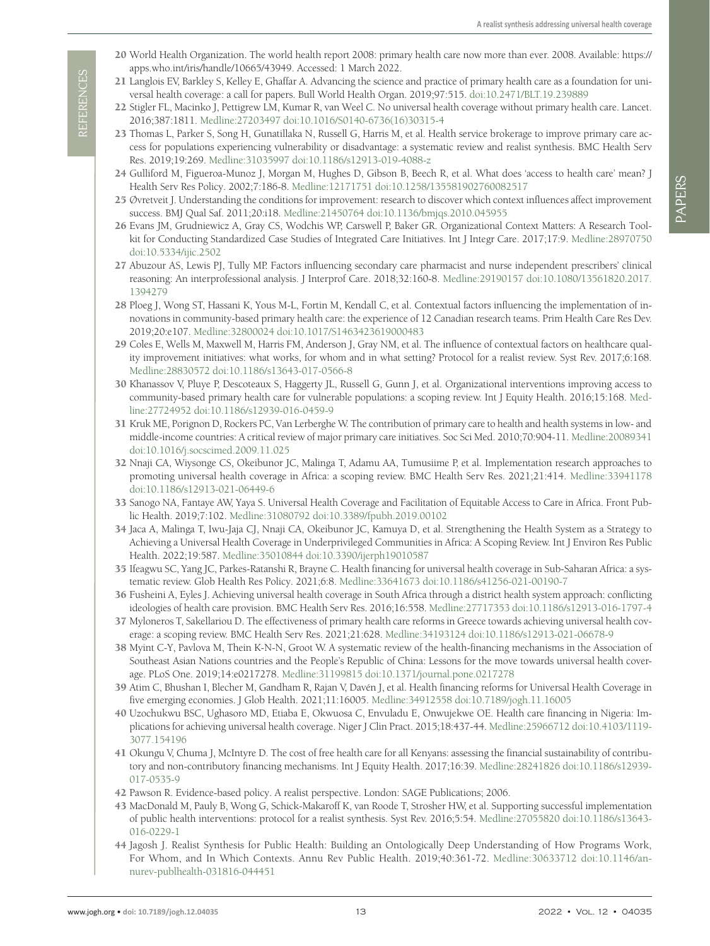- 20 World Health Organization. The world health report 2008: primary health care now more than ever. 2008. Available: [https://](https://apps.who.int/iris/handle/10665/43949) [apps.who.int/iris/handle/10665/43949.](https://apps.who.int/iris/handle/10665/43949) Accessed: 1 March 2022.
- <span id="page-12-0"></span>21 Langlois EV, Barkley S, Kelley E, Ghaffar A. Advancing the science and practice of primary health care as a foundation for universal health coverage: a call for papers. Bull World Health Organ. 2019;97:515. [doi:10.2471/BLT.19.239889](https://doi.org/10.2471/BLT.19.239889)
- <span id="page-12-1"></span>22 Stigler FL, Macinko J, Pettigrew LM, Kumar R, van Weel C. No universal health coverage without primary health care. Lancet. 2016;387:1811. [Medline:27203497](https://www.ncbi.nlm.nih.gov/entrez/query.fcgi?cmd=Retrieve&db=PubMed&list_uids=27203497&dopt=Abstract) [doi:10.1016/S0140-6736\(16\)30315-4](https://doi.org/10.1016/S0140-6736(16)30315-4)
- <span id="page-12-2"></span>23 Thomas L, Parker S, Song H, Gunatillaka N, Russell G, Harris M, et al. Health service brokerage to improve primary care access for populations experiencing vulnerability or disadvantage: a systematic review and realist synthesis. BMC Health Serv Res. 2019;19:269. [Medline:31035997](https://www.ncbi.nlm.nih.gov/entrez/query.fcgi?cmd=Retrieve&db=PubMed&list_uids=31035997&dopt=Abstract) [doi:10.1186/s12913-019-4088-z](https://doi.org/10.1186/s12913-019-4088-z)
- <span id="page-12-3"></span>24 Gulliford M, Figueroa-Munoz J, Morgan M, Hughes D, Gibson B, Beech R, et al. What does 'access to health care' mean? J Health Serv Res Policy. 2002;7:186-8. [Medline:12171751](https://www.ncbi.nlm.nih.gov/entrez/query.fcgi?cmd=Retrieve&db=PubMed&list_uids=12171751&dopt=Abstract) [doi:10.1258/135581902760082517](https://doi.org/10.1258/135581902760082517)
- <span id="page-12-4"></span>25 Øvretveit J. Understanding the conditions for improvement: research to discover which context influences affect improvement success. BMJ Qual Saf. 2011;20:i18. [Medline:21450764](https://www.ncbi.nlm.nih.gov/entrez/query.fcgi?cmd=Retrieve&db=PubMed&list_uids=21450764&dopt=Abstract) [doi:10.1136/bmjqs.2010.045955](https://doi.org/10.1136/bmjqs.2010.045955)
- 26 Evans JM, Grudniewicz A, Gray CS, Wodchis WP, Carswell P, Baker GR. Organizational Context Matters: A Research Toolkit for Conducting Standardized Case Studies of Integrated Care Initiatives. Int J Integr Care. 2017;17:9. [Medline:28970750](https://www.ncbi.nlm.nih.gov/entrez/query.fcgi?cmd=Retrieve&db=PubMed&list_uids=28970750&dopt=Abstract) [doi:10.5334/ijic.2502](https://doi.org/10.5334/ijic.2502)
- 27 Abuzour AS, Lewis PJ, Tully MP. Factors influencing secondary care pharmacist and nurse independent prescribers' clinical reasoning: An interprofessional analysis. J Interprof Care. 2018;32:160-8. [Medline:29190157](https://www.ncbi.nlm.nih.gov/entrez/query.fcgi?cmd=Retrieve&db=PubMed&list_uids=29190157&dopt=Abstract) [doi:10.1080/13561820.2017.](https://doi.org/10.1080/13561820.2017.1394279) [1394279](https://doi.org/10.1080/13561820.2017.1394279)
- <span id="page-12-5"></span>28 Ploeg J, Wong ST, Hassani K, Yous M-L, Fortin M, Kendall C, et al. Contextual factors influencing the implementation of innovations in community-based primary health care: the experience of 12 Canadian research teams. Prim Health Care Res Dev. 2019;20:e107. [Medline:32800024](https://www.ncbi.nlm.nih.gov/entrez/query.fcgi?cmd=Retrieve&db=PubMed&list_uids=32800024&dopt=Abstract) [doi:10.1017/S1463423619000483](https://doi.org/10.1017/S1463423619000483)
- <span id="page-12-6"></span>29 Coles E, Wells M, Maxwell M, Harris FM, Anderson J, Gray NM, et al. The influence of contextual factors on healthcare quality improvement initiatives: what works, for whom and in what setting? Protocol for a realist review. Syst Rev. 2017;6:168. [Medline:28830572](https://www.ncbi.nlm.nih.gov/entrez/query.fcgi?cmd=Retrieve&db=PubMed&list_uids=28830572&dopt=Abstract) [doi:10.1186/s13643-017-0566-8](https://doi.org/10.1186/s13643-017-0566-8)
- <span id="page-12-7"></span>30 Khanassov V, Pluye P, Descoteaux S, Haggerty JL, Russell G, Gunn J, et al. Organizational interventions improving access to community-based primary health care for vulnerable populations: a scoping review. Int J Equity Health. 2016;15:168. [Med](https://www.ncbi.nlm.nih.gov/entrez/query.fcgi?cmd=Retrieve&db=PubMed&list_uids=27724952&dopt=Abstract)[line:27724952](https://www.ncbi.nlm.nih.gov/entrez/query.fcgi?cmd=Retrieve&db=PubMed&list_uids=27724952&dopt=Abstract) [doi:10.1186/s12939-016-0459-9](https://doi.org/10.1186/s12939-016-0459-9)
- <span id="page-12-8"></span>31 Kruk ME, Porignon D, Rockers PC, Van Lerberghe W. The contribution of primary care to health and health systems in low- and middle-income countries: A critical review of major primary care initiatives. Soc Sci Med. 2010;70:904-11. [Medline:20089341](https://www.ncbi.nlm.nih.gov/entrez/query.fcgi?cmd=Retrieve&db=PubMed&list_uids=20089341&dopt=Abstract) [doi:10.1016/j.socscimed.2009.11.025](https://doi.org/10.1016/j.socscimed.2009.11.025)
- <span id="page-12-9"></span>32 Nnaji CA, Wiysonge CS, Okeibunor JC, Malinga T, Adamu AA, Tumusiime P, et al. Implementation research approaches to promoting universal health coverage in Africa: a scoping review. BMC Health Serv Res. 2021;21:414. [Medline:33941178](https://www.ncbi.nlm.nih.gov/entrez/query.fcgi?cmd=Retrieve&db=PubMed&list_uids=33941178&dopt=Abstract) [doi:10.1186/s12913-021-06449-6](https://doi.org/10.1186/s12913-021-06449-6)
- <span id="page-12-10"></span>33 Sanogo NA, Fantaye AW, Yaya S. Universal Health Coverage and Facilitation of Equitable Access to Care in Africa. Front Public Health. 2019;7:102. [Medline:31080792](https://www.ncbi.nlm.nih.gov/entrez/query.fcgi?cmd=Retrieve&db=PubMed&list_uids=31080792&dopt=Abstract) [doi:10.3389/fpubh.2019.00102](https://doi.org/10.3389/fpubh.2019.00102)
- <span id="page-12-11"></span>34 Jaca A, Malinga T, Iwu-Jaja CJ, Nnaji CA, Okeibunor JC, Kamuya D, et al. Strengthening the Health System as a Strategy to Achieving a Universal Health Coverage in Underprivileged Communities in Africa: A Scoping Review. Int J Environ Res Public Health. 2022;19:587. [Medline:35010844](https://www.ncbi.nlm.nih.gov/entrez/query.fcgi?cmd=Retrieve&db=PubMed&list_uids=35010844&dopt=Abstract) [doi:10.3390/ijerph19010587](https://doi.org/10.3390/ijerph19010587)
- <span id="page-12-12"></span>35 Ifeagwu SC, Yang JC, Parkes-Ratanshi R, Brayne C. Health financing for universal health coverage in Sub-Saharan Africa: a systematic review. Glob Health Res Policy. 2021;6:8. [Medline:33641673](https://www.ncbi.nlm.nih.gov/entrez/query.fcgi?cmd=Retrieve&db=PubMed&list_uids=33641673&dopt=Abstract) [doi:10.1186/s41256-021-00190-7](https://doi.org/10.1186/s41256-021-00190-7)
- 36 Fusheini A, Eyles J. Achieving universal health coverage in South Africa through a district health system approach: conflicting ideologies of health care provision. BMC Health Serv Res. 2016;16:558. [Medline:27717353](https://www.ncbi.nlm.nih.gov/entrez/query.fcgi?cmd=Retrieve&db=PubMed&list_uids=27717353&dopt=Abstract) [doi:10.1186/s12913-016-1797-4](https://doi.org/10.1186/s12913-016-1797-4)
- <span id="page-12-13"></span>37 Myloneros T, Sakellariou D. The effectiveness of primary health care reforms in Greece towards achieving universal health coverage: a scoping review. BMC Health Serv Res. 2021;21:628. [Medline:34193124](https://www.ncbi.nlm.nih.gov/entrez/query.fcgi?cmd=Retrieve&db=PubMed&list_uids=34193124&dopt=Abstract) [doi:10.1186/s12913-021-06678-9](https://doi.org/10.1186/s12913-021-06678-9)
- <span id="page-12-14"></span>38 Myint C-Y, Pavlova M, Thein K-N-N, Groot W. A systematic review of the health-financing mechanisms in the Association of Southeast Asian Nations countries and the People's Republic of China: Lessons for the move towards universal health coverage. PLoS One. 2019;14:e0217278. [Medline:31199815](https://www.ncbi.nlm.nih.gov/entrez/query.fcgi?cmd=Retrieve&db=PubMed&list_uids=31199815&dopt=Abstract) [doi:10.1371/journal.pone.0217278](https://doi.org/10.1371/journal.pone.0217278)
- 39 Atim C, Bhushan I, Blecher M, Gandham R, Rajan V, Davén J, et al. Health financing reforms for Universal Health Coverage in five emerging economies. J Glob Health. 2021;11:16005. [Medline:34912558](https://www.ncbi.nlm.nih.gov/entrez/query.fcgi?cmd=Retrieve&db=PubMed&list_uids=34912558&dopt=Abstract) [doi:10.7189/jogh.11.16005](https://doi.org/10.7189/jogh.11.16005)
- 40 Uzochukwu BSC, Ughasoro MD, Etiaba E, Okwuosa C, Envuladu E, Onwujekwe OE. Health care financing in Nigeria: Implications for achieving universal health coverage. Niger J Clin Pract. 2015;18:437-44. [Medline:25966712](https://www.ncbi.nlm.nih.gov/entrez/query.fcgi?cmd=Retrieve&db=PubMed&list_uids=25966712&dopt=Abstract) [doi:10.4103/1119-](https://doi.org/10.4103/1119-3077.154196) [3077.154196](https://doi.org/10.4103/1119-3077.154196)
- <span id="page-12-15"></span>41 Okungu V, Chuma J, McIntyre D. The cost of free health care for all Kenyans: assessing the financial sustainability of contributory and non-contributory financing mechanisms. Int J Equity Health. 2017;16:39. [Medline:28241826](https://www.ncbi.nlm.nih.gov/entrez/query.fcgi?cmd=Retrieve&db=PubMed&list_uids=28241826&dopt=Abstract) [doi:10.1186/s12939-](https://doi.org/10.1186/s12939-017-0535-9) [017-0535-9](https://doi.org/10.1186/s12939-017-0535-9)
- <span id="page-12-16"></span>42 Pawson R. Evidence-based policy. A realist perspective. London: SAGE Publications; 2006.
- 43 MacDonald M, Pauly B, Wong G, Schick-Makaroff K, van Roode T, Strosher HW, et al. Supporting successful implementation of public health interventions: protocol for a realist synthesis. Syst Rev. 2016;5:54. [Medline:27055820](https://www.ncbi.nlm.nih.gov/entrez/query.fcgi?cmd=Retrieve&db=PubMed&list_uids=27055820&dopt=Abstract) [doi:10.1186/s13643-](https://doi.org/10.1186/s13643-016-0229-1) [016-0229-1](https://doi.org/10.1186/s13643-016-0229-1)
- <span id="page-12-17"></span>44 Jagosh J. Realist Synthesis for Public Health: Building an Ontologically Deep Understanding of How Programs Work, For Whom, and In Which Contexts. Annu Rev Public Health. 2019;40:361-72. [Medline:30633712](https://www.ncbi.nlm.nih.gov/entrez/query.fcgi?cmd=Retrieve&db=PubMed&list_uids=30633712&dopt=Abstract) [doi:10.1146/an](https://doi.org/10.1146/annurev-publhealth-031816-044451)[nurev-publhealth-031816-044451](https://doi.org/10.1146/annurev-publhealth-031816-044451)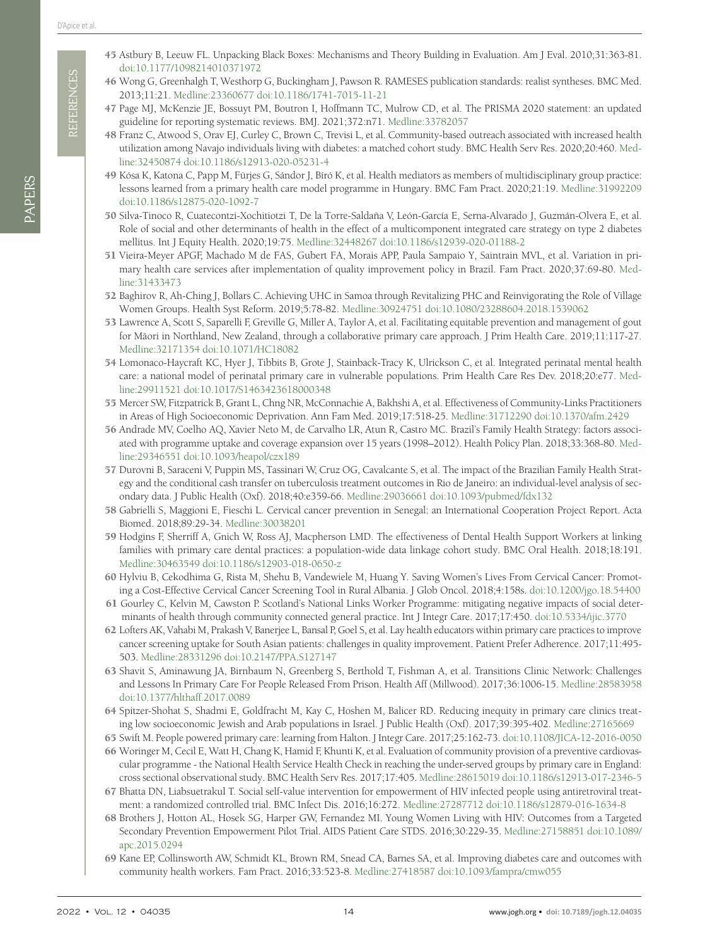- <span id="page-13-0"></span>45 Astbury B, Leeuw FL. Unpacking Black Boxes: Mechanisms and Theory Building in Evaluation. Am J Eval. 2010;31:363-81. [doi:10.1177/1098214010371972](https://doi.org/10.1177/1098214010371972)
- <span id="page-13-1"></span>46 Wong G, Greenhalgh T, Westhorp G, Buckingham J, Pawson R. RAMESES publication standards: realist syntheses. BMC Med. 2013;11:21. [Medline:23360677](https://www.ncbi.nlm.nih.gov/entrez/query.fcgi?cmd=Retrieve&db=PubMed&list_uids=23360677&dopt=Abstract) [doi:10.1186/1741-7015-11-21](https://doi.org/10.1186/1741-7015-11-21)
- <span id="page-13-35"></span><span id="page-13-34"></span><span id="page-13-33"></span><span id="page-13-32"></span><span id="page-13-31"></span><span id="page-13-30"></span><span id="page-13-29"></span><span id="page-13-28"></span><span id="page-13-27"></span><span id="page-13-26"></span><span id="page-13-25"></span><span id="page-13-24"></span><span id="page-13-23"></span><span id="page-13-2"></span>47 Page MJ, McKenzie JE, Bossuyt PM, Boutron I, Hoffmann TC, Mulrow CD, et al. The PRISMA 2020 statement: an updated guideline for reporting systematic reviews. BMJ. 2021;372:n71. [Medline:33782057](https://www.ncbi.nlm.nih.gov/entrez/query.fcgi?cmd=Retrieve&db=PubMed&list_uids=33782057&dopt=Abstract)
- <span id="page-13-22"></span><span id="page-13-21"></span><span id="page-13-20"></span><span id="page-13-19"></span><span id="page-13-18"></span><span id="page-13-17"></span><span id="page-13-16"></span><span id="page-13-15"></span><span id="page-13-14"></span><span id="page-13-3"></span>48 Franz C, Atwood S, Orav EJ, Curley C, Brown C, Trevisi L, et al. Community-based outreach associated with increased health utilization among Navajo individuals living with diabetes: a matched cohort study. BMC Health Serv Res. 2020;20:460. [Med](https://www.ncbi.nlm.nih.gov/entrez/query.fcgi?cmd=Retrieve&db=PubMed&list_uids=32450874&dopt=Abstract)[line:32450874](https://www.ncbi.nlm.nih.gov/entrez/query.fcgi?cmd=Retrieve&db=PubMed&list_uids=32450874&dopt=Abstract) [doi:10.1186/s12913-020-05231-4](https://doi.org/10.1186/s12913-020-05231-4)
- <span id="page-13-4"></span>49 Kósa K, Katona C, Papp M, Fürjes G, Sándor J, Bíró K, et al. Health mediators as members of multidisciplinary group practice: lessons learned from a primary health care model programme in Hungary. BMC Fam Pract. 2020;21:19. [Medline:31992209](https://www.ncbi.nlm.nih.gov/entrez/query.fcgi?cmd=Retrieve&db=PubMed&list_uids=31992209&dopt=Abstract) [doi:10.1186/s12875-020-1092-7](https://doi.org/10.1186/s12875-020-1092-7)
- <span id="page-13-44"></span>50 Silva-Tinoco R, Cuatecontzi-Xochitiotzi T, De la Torre-Saldaña V, León-García E, Serna-Alvarado J, Guzmán-Olvera E, et al. Role of social and other determinants of health in the effect of a multicomponent integrated care strategy on type 2 diabetes mellitus. Int J Equity Health. 2020;19:75. [Medline:32448267](https://www.ncbi.nlm.nih.gov/entrez/query.fcgi?cmd=Retrieve&db=PubMed&list_uids=32448267&dopt=Abstract) [doi:10.1186/s12939-020-01188-2](https://doi.org/10.1186/s12939-020-01188-2)
- <span id="page-13-41"></span>51 Vieira-Meyer APGF, Machado M de FAS, Gubert FA, Morais APP, Paula Sampaio Y, Saintrain MVL, et al. Variation in primary health care services after implementation of quality improvement policy in Brazil. Fam Pract. 2020;37:69-80. [Med](https://www.ncbi.nlm.nih.gov/entrez/query.fcgi?cmd=Retrieve&db=PubMed&list_uids=31433473&dopt=Abstract)[line:31433473](https://www.ncbi.nlm.nih.gov/entrez/query.fcgi?cmd=Retrieve&db=PubMed&list_uids=31433473&dopt=Abstract)
- <span id="page-13-5"></span>52 Baghirov R, Ah-Ching J, Bollars C. Achieving UHC in Samoa through Revitalizing PHC and Reinvigorating the Role of Village Women Groups. Health Syst Reform. 2019;5:78-82. [Medline:30924751](https://www.ncbi.nlm.nih.gov/entrez/query.fcgi?cmd=Retrieve&db=PubMed&list_uids=30924751&dopt=Abstract) [doi:10.1080/23288604.2018.1539062](https://doi.org/10.1080/23288604.2018.1539062)
- <span id="page-13-6"></span>53 Lawrence A, Scott S, Saparelli F, Greville G, Miller A, Taylor A, et al. Facilitating equitable prevention and management of gout for Māori in Northland, New Zealand, through a collaborative primary care approach. J Prim Health Care. 2019;11:117-27. [Medline:32171354](https://www.ncbi.nlm.nih.gov/entrez/query.fcgi?cmd=Retrieve&db=PubMed&list_uids=32171354&dopt=Abstract) [doi:10.1071/HC18082](https://doi.org/10.1071/HC18082)
- <span id="page-13-39"></span>54 Lomonaco-Haycraft KC, Hyer J, Tibbits B, Grote J, Stainback-Tracy K, Ulrickson C, et al. Integrated perinatal mental health care: a national model of perinatal primary care in vulnerable populations. Prim Health Care Res Dev. 2018;20:e77. [Med](https://www.ncbi.nlm.nih.gov/entrez/query.fcgi?cmd=Retrieve&db=PubMed&list_uids=29911521&dopt=Abstract)[line:29911521](https://www.ncbi.nlm.nih.gov/entrez/query.fcgi?cmd=Retrieve&db=PubMed&list_uids=29911521&dopt=Abstract) [doi:10.1017/S1463423618000348](https://doi.org/10.1017/S1463423618000348)
- <span id="page-13-7"></span>55 Mercer SW, Fitzpatrick B, Grant L, Chng NR, McConnachie A, Bakhshi A, et al. Effectiveness of Community-Links Practitioners in Areas of High Socioeconomic Deprivation. Ann Fam Med. 2019;17:518-25. [Medline:31712290](https://www.ncbi.nlm.nih.gov/entrez/query.fcgi?cmd=Retrieve&db=PubMed&list_uids=31712290&dopt=Abstract) [doi:10.1370/afm.2429](https://doi.org/10.1370/afm.2429)
- <span id="page-13-42"></span>56 Andrade MV, Coelho AQ, Xavier Neto M, de Carvalho LR, Atun R, Castro MC. Brazil's Family Health Strategy: factors associated with programme uptake and coverage expansion over 15 years (1998–2012). Health Policy Plan. 2018;33:368-80. [Med](https://www.ncbi.nlm.nih.gov/entrez/query.fcgi?cmd=Retrieve&db=PubMed&list_uids=29346551&dopt=Abstract)[line:29346551](https://www.ncbi.nlm.nih.gov/entrez/query.fcgi?cmd=Retrieve&db=PubMed&list_uids=29346551&dopt=Abstract) [doi:10.1093/heapol/czx189](https://doi.org/10.1093/heapol/czx189)
- <span id="page-13-36"></span>57 Durovni B, Saraceni V, Puppin MS, Tassinari W, Cruz OG, Cavalcante S, et al. The impact of the Brazilian Family Health Strategy and the conditional cash transfer on tuberculosis treatment outcomes in Rio de Janeiro: an individual-level analysis of secondary data. J Public Health (Oxf). 2018;40:e359-66. [Medline:29036661](https://www.ncbi.nlm.nih.gov/entrez/query.fcgi?cmd=Retrieve&db=PubMed&list_uids=29036661&dopt=Abstract) [doi:10.1093/pubmed/fdx132](https://doi.org/10.1093/pubmed/fdx132)
- <span id="page-13-45"></span>58 Gabrielli S, Maggioni E, Fieschi L. Cervical cancer prevention in Senegal: an International Cooperation Project Report. Acta Biomed. 2018;89:29-34. [Medline:30038201](https://www.ncbi.nlm.nih.gov/entrez/query.fcgi?cmd=Retrieve&db=PubMed&list_uids=30038201&dopt=Abstract)
- <span id="page-13-8"></span>59 Hodgins F, Sherriff A, Gnich W, Ross AJ, Macpherson LMD. The effectiveness of Dental Health Support Workers at linking families with primary care dental practices: a population-wide data linkage cohort study. BMC Oral Health. 2018;18:191. [Medline:30463549](https://www.ncbi.nlm.nih.gov/entrez/query.fcgi?cmd=Retrieve&db=PubMed&list_uids=30463549&dopt=Abstract) [doi:10.1186/s12903-018-0650-z](https://doi.org/10.1186/s12903-018-0650-z)
- <span id="page-13-43"></span>60 Hylviu B, Cekodhima G, Rista M, Shehu B, Vandewiele M, Huang Y. Saving Women's Lives From Cervical Cancer: Promoting a Cost-Effective Cervical Cancer Screening Tool in Rural Albania. J Glob Oncol. 2018;4:158s. [doi:10.1200/jgo.18.54400](https://doi.org/10.1200/jgo.18.54400)
- <span id="page-13-9"></span>61 Gourley C, Kelvin M, Cawston P. Scotland's National Links Worker Programme: mitigating negative impacts of social determinants of health through community connected general practice. Int J Integr Care. 2017;17:450. [doi:10.5334/ijic.3770](https://doi.org/10.5334/ijic.3770)
- <span id="page-13-10"></span>62 Lofters AK, Vahabi M, Prakash V, Banerjee L, Bansal P, Goel S, et al. Lay health educators within primary care practices to improve cancer screening uptake for South Asian patients: challenges in quality improvement. Patient Prefer Adherence. 2017;11:495- 503. [Medline:28331296](https://www.ncbi.nlm.nih.gov/entrez/query.fcgi?cmd=Retrieve&db=PubMed&list_uids=28331296&dopt=Abstract) [doi:10.2147/PPA.S127147](https://doi.org/10.2147/PPA.S127147)
- <span id="page-13-38"></span>63 Shavit S, Aminawung JA, Birnbaum N, Greenberg S, Berthold T, Fishman A, et al. Transitions Clinic Network: Challenges and Lessons In Primary Care For People Released From Prison. Health Aff (Millwood). 2017;36:1006-15. [Medline:28583958](https://www.ncbi.nlm.nih.gov/entrez/query.fcgi?cmd=Retrieve&db=PubMed&list_uids=28583958&dopt=Abstract) [doi:10.1377/hlthaff.2017.0089](https://doi.org/10.1377/hlthaff.2017.0089)
- <span id="page-13-11"></span>64 Spitzer-Shohat S, Shadmi E, Goldfracht M, Kay C, Hoshen M, Balicer RD. Reducing inequity in primary care clinics treating low socioeconomic Jewish and Arab populations in Israel. J Public Health (Oxf). 2017;39:395-402. [Medline:27165669](https://www.ncbi.nlm.nih.gov/entrez/query.fcgi?cmd=Retrieve&db=PubMed&list_uids=27165669&dopt=Abstract)
- <span id="page-13-46"></span><span id="page-13-40"></span><span id="page-13-37"></span><span id="page-13-13"></span><span id="page-13-12"></span>65 Swift M. People powered primary care: learning from Halton. J Integr Care. 2017;25:162-73. [doi:10.1108/JICA-12-2016-0050](https://doi.org/10.1108/JICA-12-2016-0050)
- 2021 **Alternative Conservation** in the main factor of ASHK (alternative Conservation)  $\chi$  (alternative Conservation)  $\chi$  (alternative Conservation)  $\chi$  (alternative Conservation)  $\chi$  (alternative Conservation)  $\chi$  (a 66 Woringer M, Cecil E, Watt H, Chang K, Hamid F, Khunti K, et al. Evaluation of community provision of a preventive cardiovascular programme - the National Health Service Health Check in reaching the under-served groups by primary care in England: cross sectional observational study. BMC Health Serv Res. 2017;17:405. [Medline:28615019](https://www.ncbi.nlm.nih.gov/entrez/query.fcgi?cmd=Retrieve&db=PubMed&list_uids=28615019&dopt=Abstract) [doi:10.1186/s12913-017-2346-5](https://doi.org/10.1186/s12913-017-2346-5)
	- 67 Bhatta DN, Liabsuetrakul T. Social self-value intervention for empowerment of HIV infected people using antiretroviral treatment: a randomized controlled trial. BMC Infect Dis. 2016;16:272. [Medline:27287712](https://www.ncbi.nlm.nih.gov/entrez/query.fcgi?cmd=Retrieve&db=PubMed&list_uids=27287712&dopt=Abstract) [doi:10.1186/s12879-016-1634-8](https://doi.org/10.1186/s12879-016-1634-8)
	- 68 Brothers J, Hotton AL, Hosek SG, Harper GW, Fernandez MI. Young Women Living with HIV: Outcomes from a Targeted Secondary Prevention Empowerment Pilot Trial. AIDS Patient Care STDS. 2016;30:229-35. [Medline:27158851](https://www.ncbi.nlm.nih.gov/entrez/query.fcgi?cmd=Retrieve&db=PubMed&list_uids=27158851&dopt=Abstract) [doi:10.1089/](https://doi.org/10.1089/apc.2015.0294) [apc.2015.0294](https://doi.org/10.1089/apc.2015.0294)
	- 69 Kane EP, Collinsworth AW, Schmidt KL, Brown RM, Snead CA, Barnes SA, et al. Improving diabetes care and outcomes with community health workers. Fam Pract. 2016;33:523-8. [Medline:27418587](https://www.ncbi.nlm.nih.gov/entrez/query.fcgi?cmd=Retrieve&db=PubMed&list_uids=27418587&dopt=Abstract) [doi:10.1093/fampra/cmw055](https://doi.org/10.1093/fampra/cmw055)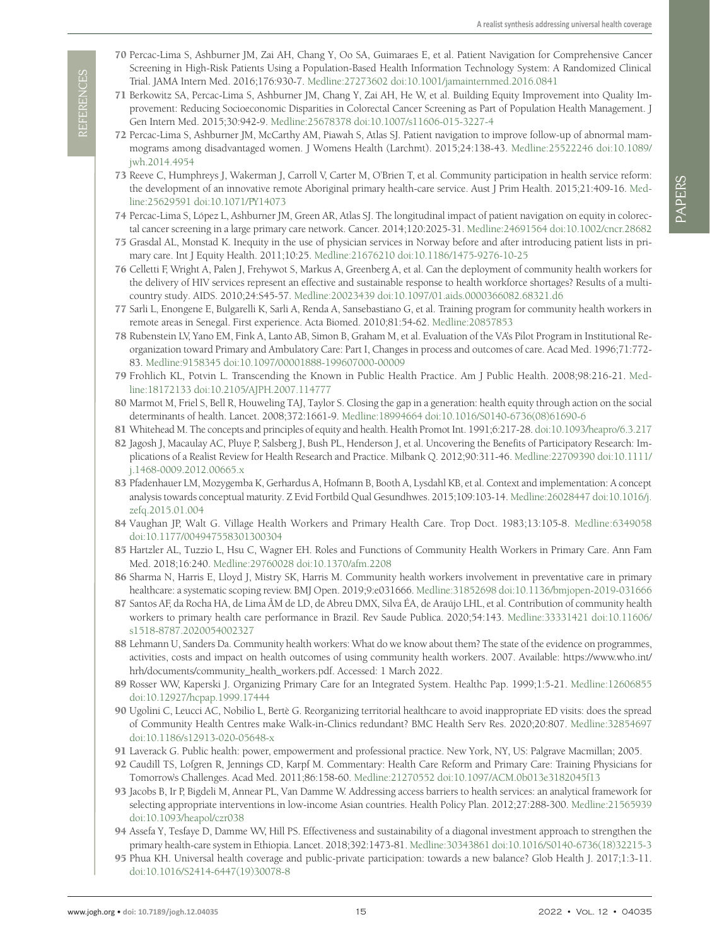- <span id="page-14-13"></span>70 Percac-Lima S, Ashburner JM, Zai AH, Chang Y, Oo SA, Guimaraes E, et al. Patient Navigation for Comprehensive Cancer Screening in High-Risk Patients Using a Population-Based Health Information Technology System: A Randomized Clinical Trial. JAMA Intern Med. 2016;176:930-7. [Medline:27273602](https://www.ncbi.nlm.nih.gov/entrez/query.fcgi?cmd=Retrieve&db=PubMed&list_uids=27273602&dopt=Abstract) [doi:10.1001/jamainternmed.2016.0841](https://doi.org/10.1001/jamainternmed.2016.0841)
- <span id="page-14-16"></span><span id="page-14-12"></span><span id="page-14-11"></span><span id="page-14-10"></span><span id="page-14-9"></span><span id="page-14-8"></span><span id="page-14-7"></span><span id="page-14-6"></span><span id="page-14-5"></span><span id="page-14-4"></span>71 Berkowitz SA, Percac-Lima S, Ashburner JM, Chang Y, Zai AH, He W, et al. Building Equity Improvement into Quality Improvement: Reducing Socioeconomic Disparities in Colorectal Cancer Screening as Part of Population Health Management. J Gen Intern Med. 2015;30:942-9. [Medline:25678378](https://www.ncbi.nlm.nih.gov/entrez/query.fcgi?cmd=Retrieve&db=PubMed&list_uids=25678378&dopt=Abstract) [doi:10.1007/s11606-015-3227-4](https://doi.org/10.1007/s11606-015-3227-4)
- <span id="page-14-3"></span>72 Percac-Lima S, Ashburner JM, McCarthy AM, Piawah S, Atlas SJ. Patient navigation to improve follow-up of abnormal mammograms among disadvantaged women. J Womens Health (Larchmt). 2015;24:138-43. [Medline:25522246](https://www.ncbi.nlm.nih.gov/entrez/query.fcgi?cmd=Retrieve&db=PubMed&list_uids=25522246&dopt=Abstract) [doi:10.1089/](https://doi.org/10.1089/jwh.2014.4954) [jwh.2014.4954](https://doi.org/10.1089/jwh.2014.4954)
- <span id="page-14-14"></span>73 Reeve C, Humphreys J, Wakerman J, Carroll V, Carter M, O'Brien T, et al. Community participation in health service reform: the development of an innovative remote Aboriginal primary health-care service. Aust J Prim Health. 2015;21:409-16. [Med](https://www.ncbi.nlm.nih.gov/entrez/query.fcgi?cmd=Retrieve&db=PubMed&list_uids=25629591&dopt=Abstract)[line:25629591](https://www.ncbi.nlm.nih.gov/entrez/query.fcgi?cmd=Retrieve&db=PubMed&list_uids=25629591&dopt=Abstract) [doi:10.1071/PY14073](https://doi.org/10.1071/PY14073)
- <span id="page-14-0"></span>74 Percac-Lima S, López L, Ashburner JM, Green AR, Atlas SJ. The longitudinal impact of patient navigation on equity in colorectal cancer screening in a large primary care network. Cancer. 2014;120:2025-31. [Medline:24691564](https://www.ncbi.nlm.nih.gov/entrez/query.fcgi?cmd=Retrieve&db=PubMed&list_uids=24691564&dopt=Abstract) [doi:10.1002/cncr.28682](https://doi.org/10.1002/cncr.28682)
- <span id="page-14-15"></span>75 Grasdal AL, Monstad K. Inequity in the use of physician services in Norway before and after introducing patient lists in primary care. Int J Equity Health. 2011;10:25. [Medline:21676210](https://www.ncbi.nlm.nih.gov/entrez/query.fcgi?cmd=Retrieve&db=PubMed&list_uids=21676210&dopt=Abstract) [doi:10.1186/1475-9276-10-25](https://doi.org/10.1186/1475-9276-10-25)
- <span id="page-14-1"></span>76 Celletti F, Wright A, Palen J, Frehywot S, Markus A, Greenberg A, et al. Can the deployment of community health workers for the delivery of HIV services represent an effective and sustainable response to health workforce shortages? Results of a multicountry study. AIDS. 2010;24:S45-57. [Medline:20023439](https://www.ncbi.nlm.nih.gov/entrez/query.fcgi?cmd=Retrieve&db=PubMed&list_uids=20023439&dopt=Abstract) [doi:10.1097/01.aids.0000366082.68321.d6](https://doi.org/10.1097/01.aids.0000366082.68321.d6)
- <span id="page-14-2"></span>77 Sarli L, Enongene E, Bulgarelli K, Sarli A, Renda A, Sansebastiano G, et al. Training program for community health workers in remote areas in Senegal. First experience. Acta Biomed. 2010;81:54-62. [Medline:20857853](https://www.ncbi.nlm.nih.gov/entrez/query.fcgi?cmd=Retrieve&db=PubMed&list_uids=20857853&dopt=Abstract)
- <span id="page-14-17"></span>78 Rubenstein LV, Yano EM, Fink A, Lanto AB, Simon B, Graham M, et al. Evaluation of the VA's Pilot Program in Institutional Reorganization toward Primary and Ambulatory Care: Part I, Changes in process and outcomes of care. Acad Med. 1996;71:772- 83. [Medline:9158345](https://www.ncbi.nlm.nih.gov/entrez/query.fcgi?cmd=Retrieve&db=PubMed&list_uids=9158345&dopt=Abstract) [doi:10.1097/00001888-199607000-00009](https://doi.org/10.1097/00001888-199607000-00009)
- <span id="page-14-18"></span>79 Frohlich KL, Potvin L. Transcending the Known in Public Health Practice. Am J Public Health. 2008;98:216-21. [Med](https://www.ncbi.nlm.nih.gov/entrez/query.fcgi?cmd=Retrieve&db=PubMed&list_uids=18172133&dopt=Abstract)[line:18172133](https://www.ncbi.nlm.nih.gov/entrez/query.fcgi?cmd=Retrieve&db=PubMed&list_uids=18172133&dopt=Abstract) [doi:10.2105/AJPH.2007.114777](https://doi.org/10.2105/AJPH.2007.114777)
- <span id="page-14-19"></span>80 Marmot M, Friel S, Bell R, Houweling TAJ, Taylor S. Closing the gap in a generation: health equity through action on the social determinants of health. Lancet. 2008;372:1661-9. [Medline:18994664](https://www.ncbi.nlm.nih.gov/entrez/query.fcgi?cmd=Retrieve&db=PubMed&list_uids=18994664&dopt=Abstract) [doi:10.1016/S0140-6736\(08\)61690-6](https://doi.org/10.1016/S0140-6736(08)61690-6)
- <span id="page-14-20"></span>81 Whitehead M. The concepts and principles of equity and health. Health Promot Int. 1991;6:217-28. [doi:10.1093/heapro/6.3.217](https://doi.org/10.1093/heapro/6.3.217)
- <span id="page-14-21"></span>82 Jagosh J, Macaulay AC, Pluye P, Salsberg J, Bush PL, Henderson J, et al. Uncovering the Benefits of Participatory Research: Implications of a Realist Review for Health Research and Practice. Milbank Q. 2012;90:311-46. [Medline:22709390](https://www.ncbi.nlm.nih.gov/entrez/query.fcgi?cmd=Retrieve&db=PubMed&list_uids=22709390&dopt=Abstract) [doi:10.1111/](https://doi.org/10.1111/j.1468-0009.2012.00665.x) [j.1468-0009.2012.00665.x](https://doi.org/10.1111/j.1468-0009.2012.00665.x)
- <span id="page-14-22"></span>83 Pfadenhauer LM, Mozygemba K, Gerhardus A, Hofmann B, Booth A, Lysdahl KB, et al. Context and implementation: A concept analysis towards conceptual maturity. Z Evid Fortbild Qual Gesundhwes. 2015;109:103-14. [Medline:26028447](https://www.ncbi.nlm.nih.gov/entrez/query.fcgi?cmd=Retrieve&db=PubMed&list_uids=26028447&dopt=Abstract) [doi:10.1016/j.](https://doi.org/10.1016/j.zefq.2015.01.004) [zefq.2015.01.004](https://doi.org/10.1016/j.zefq.2015.01.004)
- <span id="page-14-23"></span>84 Vaughan JP, Walt G. Village Health Workers and Primary Health Care. Trop Doct. 1983;13:105-8. [Medline:6349058](https://www.ncbi.nlm.nih.gov/entrez/query.fcgi?cmd=Retrieve&db=PubMed&list_uids=6349058&dopt=Abstract) [doi:10.1177/004947558301300304](https://doi.org/10.1177/004947558301300304)
- 85 Hartzler AL, Tuzzio L, Hsu C, Wagner EH. Roles and Functions of Community Health Workers in Primary Care. Ann Fam Med. 2018;16:240. [Medline:29760028](https://www.ncbi.nlm.nih.gov/entrez/query.fcgi?cmd=Retrieve&db=PubMed&list_uids=29760028&dopt=Abstract) [doi:10.1370/afm.2208](https://doi.org/10.1370/afm.2208)
- 86 Sharma N, Harris E, Lloyd J, Mistry SK, Harris M. Community health workers involvement in preventative care in primary healthcare: a systematic scoping review. BMJ Open. 2019;9:e031666. [Medline:31852698](https://www.ncbi.nlm.nih.gov/entrez/query.fcgi?cmd=Retrieve&db=PubMed&list_uids=31852698&dopt=Abstract) [doi:10.1136/bmjopen-2019-031666](https://doi.org/10.1136/bmjopen-2019-031666)
- <span id="page-14-24"></span>87 Santos AF, da Rocha HA, de Lima ÂM de LD, de Abreu DMX, Silva ÉA, de Araújo LHL, et al. Contribution of community health workers to primary health care performance in Brazil. Rev Saude Publica. 2020;54:143. [Medline:33331421](https://www.ncbi.nlm.nih.gov/entrez/query.fcgi?cmd=Retrieve&db=PubMed&list_uids=33331421&dopt=Abstract) [doi:10.11606/](https://doi.org/10.11606/s1518-8787.2020054002327) [s1518-8787.2020054002327](https://doi.org/10.11606/s1518-8787.2020054002327)
- <span id="page-14-25"></span>88 Lehmann U, Sanders Da. Community health workers: What do we know about them? The state of the evidence on programmes, activities, costs and impact on health outcomes of using community health workers. 2007. Available: [https://www.who.int/](https://www.who.int/hrh/documents/community_health_workers.pdf) [hrh/documents/community\\_health\\_workers.pdf.](https://www.who.int/hrh/documents/community_health_workers.pdf) Accessed: 1 March 2022.
- <span id="page-14-26"></span>89 Rosser WW, Kaperski J. Organizing Primary Care for an Integrated System. Healthc Pap. 1999;1:5-21. [Medline:12606855](https://www.ncbi.nlm.nih.gov/entrez/query.fcgi?cmd=Retrieve&db=PubMed&list_uids=12606855&dopt=Abstract) [doi:10.12927/hcpap.1999.17444](https://doi.org/10.12927/hcpap.1999.17444)
- <span id="page-14-27"></span>90 Ugolini C, Leucci AC, Nobilio L, Bertè G. Reorganizing territorial healthcare to avoid inappropriate ED visits: does the spread of Community Health Centres make Walk-in-Clinics redundant? BMC Health Serv Res. 2020;20:807. [Medline:32854697](https://www.ncbi.nlm.nih.gov/entrez/query.fcgi?cmd=Retrieve&db=PubMed&list_uids=32854697&dopt=Abstract) [doi:10.1186/s12913-020-05648-x](https://doi.org/10.1186/s12913-020-05648-x)
- <span id="page-14-28"></span>91 Laverack G. Public health: power, empowerment and professional practice. New York, NY, US: Palgrave Macmillan; 2005.
- <span id="page-14-29"></span>92 Caudill TS, Lofgren R, Jennings CD, Karpf M. Commentary: Health Care Reform and Primary Care: Training Physicians for Tomorrow's Challenges. Acad Med. 2011;86:158-60. [Medline:21270552](https://www.ncbi.nlm.nih.gov/entrez/query.fcgi?cmd=Retrieve&db=PubMed&list_uids=21270552&dopt=Abstract) [doi:10.1097/ACM.0b013e3182045f13](https://doi.org/10.1097/ACM.0b013e3182045f13)
- <span id="page-14-30"></span>93 Jacobs B, Ir P, Bigdeli M, Annear PL, Van Damme W. Addressing access barriers to health services: an analytical framework for selecting appropriate interventions in low-income Asian countries. Health Policy Plan. 2012;27:288-300. [Medline:21565939](https://www.ncbi.nlm.nih.gov/entrez/query.fcgi?cmd=Retrieve&db=PubMed&list_uids=21565939&dopt=Abstract) [doi:10.1093/heapol/czr038](https://doi.org/10.1093/heapol/czr038)
- <span id="page-14-31"></span>94 Assefa Y, Tesfaye D, Damme WV, Hill PS. Effectiveness and sustainability of a diagonal investment approach to strengthen the primary health-care system in Ethiopia. Lancet. 2018;392:1473-81. [Medline:30343861](https://www.ncbi.nlm.nih.gov/entrez/query.fcgi?cmd=Retrieve&db=PubMed&list_uids=30343861&dopt=Abstract) [doi:10.1016/S0140-6736\(18\)32215-3](https://doi.org/10.1016/S0140-6736(18)32215-3)
- <span id="page-14-32"></span>95 Phua KH. Universal health coverage and public-private participation: towards a new balance? Glob Health J. 2017;1:3-11. [doi:10.1016/S2414-6447\(19\)30078-8](https://doi.org/10.1016/S2414-6447(19)30078-8)